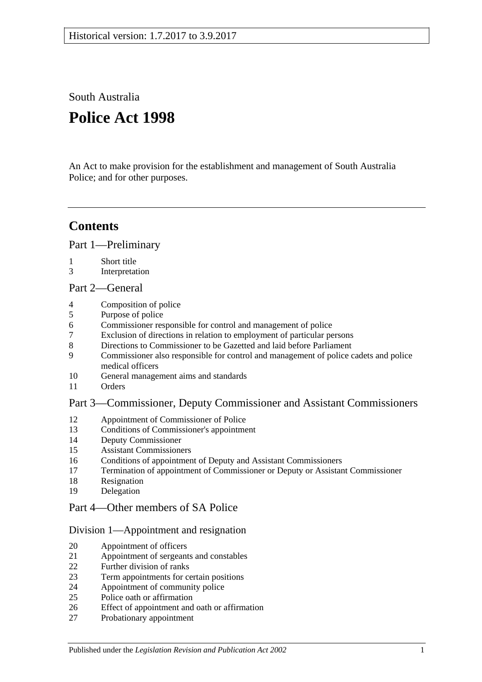South Australia

# **Police Act 1998**

An Act to make provision for the establishment and management of South Australia Police; and for other purposes.

## **Contents**

[Part 1—Preliminary](#page-2-0)

- [Short title](#page-2-1)
- [Interpretation](#page-3-0)

## [Part 2—General](#page-4-0)

- [Composition of police](#page-4-1)
- [Purpose of police](#page-4-2)
- [Commissioner responsible for control and management of police](#page-4-3)
- [Exclusion of directions in relation to employment of particular persons](#page-4-4)
- [Directions to Commissioner to be Gazetted and laid before Parliament](#page-4-5)
- [Commissioner also responsible for control and management of police cadets and police](#page-4-6)  [medical officers](#page-4-6)
- [General management aims and standards](#page-5-0)
- [Orders](#page-5-1)

## [Part 3—Commissioner, Deputy Commissioner and Assistant Commissioners](#page-6-0)

- [Appointment of Commissioner of Police](#page-6-1)<br>13 Conditions of Commissioner's appointme
- [Conditions of Commissioner's appointment](#page-6-2)
- [Deputy Commissioner](#page-7-0)
- [Assistant Commissioners](#page-7-1)
- [Conditions of appointment of Deputy and Assistant Commissioners](#page-7-2)
- [Termination of appointment of Commissioner or Deputy or Assistant Commissioner](#page-8-0)
- [Resignation](#page-8-1)
- [Delegation](#page-8-2)

## [Part 4—Other members of SA Police](#page-9-0)

## [Division 1—Appointment and resignation](#page-9-1)

- [Appointment of officers](#page-9-2)
- [Appointment of sergeants and constables](#page-9-3)
- [Further division of ranks](#page-9-4)
- [Term appointments for certain positions](#page-9-5)
- [Appointment of community police](#page-10-0)
- [Police oath or affirmation](#page-10-1)
- [Effect of appointment and oath or affirmation](#page-10-2)
- [Probationary appointment](#page-10-3)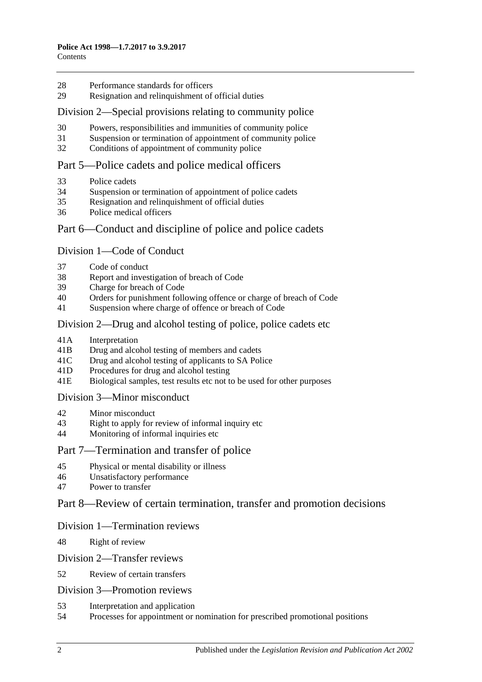- 28 [Performance standards for officers](#page-11-0)
- 29 Resignation [and relinquishment of official duties](#page-11-1)

#### [Division 2—Special provisions relating to community police](#page-12-0)

- 30 [Powers, responsibilities and immunities of community police](#page-12-1)
- 31 [Suspension or termination of appointment of community police](#page-12-2)
- 32 [Conditions of appointment of community police](#page-12-3)

## [Part 5—Police cadets and police medical officers](#page-12-4)

- 33 [Police cadets](#page-12-5)
- 34 [Suspension or termination of appointment of police cadets](#page-13-0)
- 35 [Resignation and relinquishment of official duties](#page-13-1)
- 36 [Police medical officers](#page-13-2)

## Part [6—Conduct and discipline of police and police cadets](#page-13-3)

#### [Division 1—Code of Conduct](#page-13-4)

- 37 [Code of conduct](#page-13-5)
- 38 [Report and investigation of breach of Code](#page-14-0)
- 39 [Charge for breach of Code](#page-14-1)
- 40 [Orders for punishment following offence or charge of breach of Code](#page-14-2)
- 41 [Suspension where charge of offence or breach of Code](#page-15-0)

## Division [2—Drug and alcohol testing of police, police cadets etc](#page-15-1)

- 41A [Interpretation](#page-15-2)
- 41B [Drug and alcohol testing of members and cadets](#page-16-0)
- 41C [Drug and alcohol testing of applicants to SA](#page-17-0) Police
- 41D [Procedures for drug and alcohol testing](#page-17-1)
- 41E [Biological samples, test results etc not to be used for other purposes](#page-18-0)

#### [Division 3—Minor misconduct](#page-18-1)

- 42 [Minor misconduct](#page-18-2)
- 43 [Right to apply for review of informal inquiry etc](#page-19-0)
- 44 [Monitoring of informal inquiries etc](#page-20-0)

## [Part 7—Termination and transfer of police](#page-21-0)

- 45 [Physical or mental disability or illness](#page-21-1)
- 46 [Unsatisfactory performance](#page-21-2)
- 47 [Power to transfer](#page-22-0)

#### [Part 8—Review of certain termination, transfer and promotion decisions](#page-22-1)

#### [Division 1—Termination reviews](#page-22-2)

48 [Right of review](#page-22-3)

#### [Division 2—Transfer reviews](#page-22-4)

52 [Review of certain transfers](#page-22-5)

#### [Division 3—Promotion reviews](#page-23-0)

- 53 [Interpretation and application](#page-23-1)
- 54 [Processes for appointment or nomination for prescribed promotional positions](#page-23-2)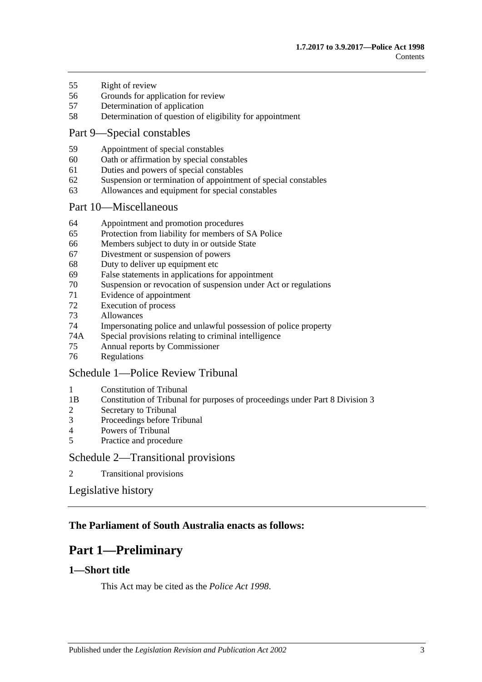- [Right of review](#page-23-3)
- [Grounds for application for review](#page-24-0)
- [Determination](#page-24-1) of application
- [Determination of question of eligibility for appointment](#page-24-2)

## [Part 9—Special constables](#page-25-0)

- [Appointment of special constables](#page-25-1)
- [Oath or affirmation by special constables](#page-25-2)
- [Duties and powers of special constables](#page-25-3)
- [Suspension or termination of appointment of special constables](#page-26-0)
- [Allowances and equipment for special constables](#page-26-1)

#### [Part 10—Miscellaneous](#page-26-2)

- [Appointment and promotion procedures](#page-26-3)
- [Protection from liability for members of SA](#page-26-4) Police
- [Members subject to duty in or outside State](#page-27-0)
- [Divestment or suspension of powers](#page-27-1)
- [Duty to deliver up equipment etc](#page-27-2)
- [False statements in applications for appointment](#page-28-0)
- [Suspension or revocation of suspension under Act or regulations](#page-28-1)
- [Evidence of appointment](#page-29-0)
- [Execution of process](#page-29-1)<br>73 Allowances
- **[Allowances](#page-29-2)**
- [Impersonating police and unlawful possession of police property](#page-29-3)
- 74A [Special provisions relating to criminal intelligence](#page-30-0)
- [Annual reports by Commissioner](#page-31-0)
- [Regulations](#page-31-1)

## [Schedule 1—Police Review Tribunal](#page-31-2)

- [Constitution of Tribunal](#page-31-3)
- 1B [Constitution of Tribunal for purposes of proceedings under Part 8 Division 3](#page-31-4)
- [Secretary to Tribunal](#page-32-0)
- [Proceedings before Tribunal](#page-32-1)
- [Powers of Tribunal](#page-33-0)
- [Practice and procedure](#page-33-1)

## [Schedule 2—Transitional provisions](#page-34-0)

[Transitional provisions](#page-34-1)

[Legislative history](#page-35-0)

## <span id="page-2-0"></span>**The Parliament of South Australia enacts as follows:**

## **Part 1—Preliminary**

## <span id="page-2-1"></span>**1—Short title**

This Act may be cited as the *Police Act 1998*.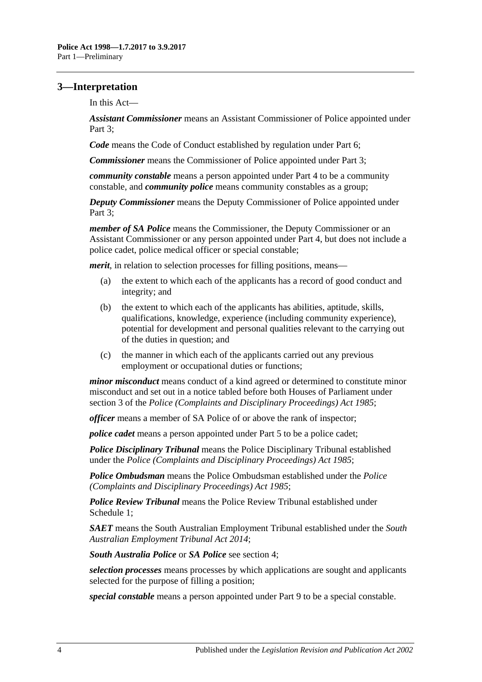## <span id="page-3-0"></span>**3—Interpretation**

In this Act—

*Assistant Commissioner* means an Assistant Commissioner of Police appointed under [Part 3;](#page-6-0)

*Code* means the Code of Conduct established by regulation under [Part 6;](#page-13-3)

*Commissioner* means the Commissioner of Police appointed under [Part 3;](#page-6-0)

*community constable* means a person appointed under [Part 4](#page-9-0) to be a community constable, and *community police* means community constables as a group;

*Deputy Commissioner* means the Deputy Commissioner of Police appointed under [Part 3;](#page-6-0)

*member of SA Police* means the Commissioner, the Deputy Commissioner or an Assistant Commissioner or any person appointed under [Part 4,](#page-9-0) but does not include a police cadet, police medical officer or special constable;

*merit*, in relation to selection processes for filling positions, means—

- (a) the extent to which each of the applicants has a record of good conduct and integrity; and
- (b) the extent to which each of the applicants has abilities, aptitude, skills, qualifications, knowledge, experience (including community experience), potential for development and personal qualities relevant to the carrying out of the duties in question; and
- (c) the manner in which each of the applicants carried out any previous employment or occupational duties or functions;

*minor misconduct* means conduct of a kind agreed or determined to constitute minor misconduct and set out in a notice tabled before both Houses of Parliament under section 3 of the *[Police \(Complaints and Disciplinary Proceedings\) Act](http://www.legislation.sa.gov.au/index.aspx?action=legref&type=act&legtitle=Police%20(Complaints%20and%20Disciplinary%20Proceedings)%20Act%201985) 1985*;

*officer* means a member of SA Police of or above the rank of inspector;

*police cadet* means a person appointed under [Part 5](#page-12-4) to be a police cadet;

*Police Disciplinary Tribunal* means the Police Disciplinary Tribunal established under the *[Police \(Complaints and Disciplinary Proceedings\) Act](http://www.legislation.sa.gov.au/index.aspx?action=legref&type=act&legtitle=Police%20(Complaints%20and%20Disciplinary%20Proceedings)%20Act%201985) 1985*;

*Police Ombudsman* means the Police Ombudsman established under the *[Police](http://www.legislation.sa.gov.au/index.aspx?action=legref&type=act&legtitle=Police%20(Complaints%20and%20Disciplinary%20Proceedings)%20Act%201985)  [\(Complaints and Disciplinary Proceedings\) Act](http://www.legislation.sa.gov.au/index.aspx?action=legref&type=act&legtitle=Police%20(Complaints%20and%20Disciplinary%20Proceedings)%20Act%201985) 1985*;

*Police Review Tribunal* means the Police Review Tribunal established under [Schedule](#page-31-2) 1;

*SAET* means the South Australian Employment Tribunal established under the *[South](http://www.legislation.sa.gov.au/index.aspx?action=legref&type=act&legtitle=South%20Australian%20Employment%20Tribunal%20Act%202014)  [Australian Employment Tribunal Act](http://www.legislation.sa.gov.au/index.aspx?action=legref&type=act&legtitle=South%20Australian%20Employment%20Tribunal%20Act%202014) 2014*;

*South Australia Police* or *SA Police* see [section](#page-4-1) 4;

*selection processes* means processes by which applications are sought and applicants selected for the purpose of filling a position;

*special constable* means a person appointed under [Part 9](#page-25-0) to be a special constable.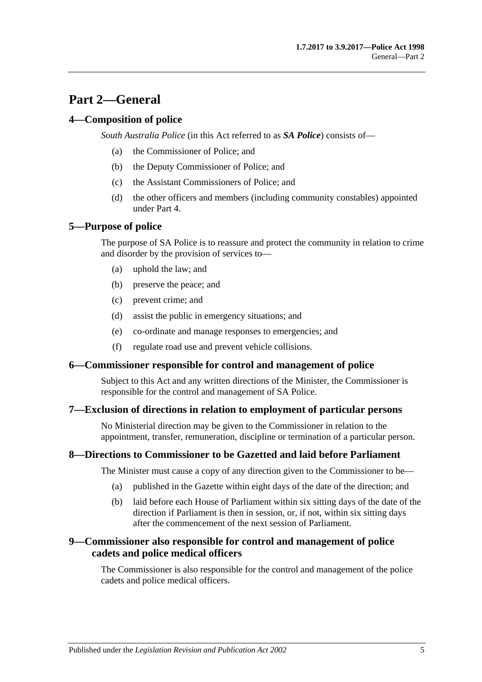## <span id="page-4-0"></span>**Part 2—General**

## <span id="page-4-1"></span>**4—Composition of police**

*South Australia Police* (in this Act referred to as *SA Police*) consists of—

- (a) the Commissioner of Police; and
- (b) the Deputy Commissioner of Police; and
- (c) the Assistant Commissioners of Police; and
- (d) the other officers and members (including community constables) appointed under [Part 4.](#page-9-0)

## <span id="page-4-2"></span>**5—Purpose of police**

The purpose of SA Police is to reassure and protect the community in relation to crime and disorder by the provision of services to—

- (a) uphold the law; and
- (b) preserve the peace; and
- (c) prevent crime; and
- (d) assist the public in emergency situations; and
- (e) co-ordinate and manage responses to emergencies; and
- (f) regulate road use and prevent vehicle collisions.

#### <span id="page-4-3"></span>**6—Commissioner responsible for control and management of police**

Subject to this Act and any written directions of the Minister, the Commissioner is responsible for the control and management of SA Police.

#### <span id="page-4-4"></span>**7—Exclusion of directions in relation to employment of particular persons**

No Ministerial direction may be given to the Commissioner in relation to the appointment, transfer, remuneration, discipline or termination of a particular person.

#### <span id="page-4-5"></span>**8—Directions to Commissioner to be Gazetted and laid before Parliament**

The Minister must cause a copy of any direction given to the Commissioner to be—

- (a) published in the Gazette within eight days of the date of the direction; and
- (b) laid before each House of Parliament within six sitting days of the date of the direction if Parliament is then in session, or, if not, within six sitting days after the commencement of the next session of Parliament.

## <span id="page-4-6"></span>**9—Commissioner also responsible for control and management of police cadets and police medical officers**

The Commissioner is also responsible for the control and management of the police cadets and police medical officers.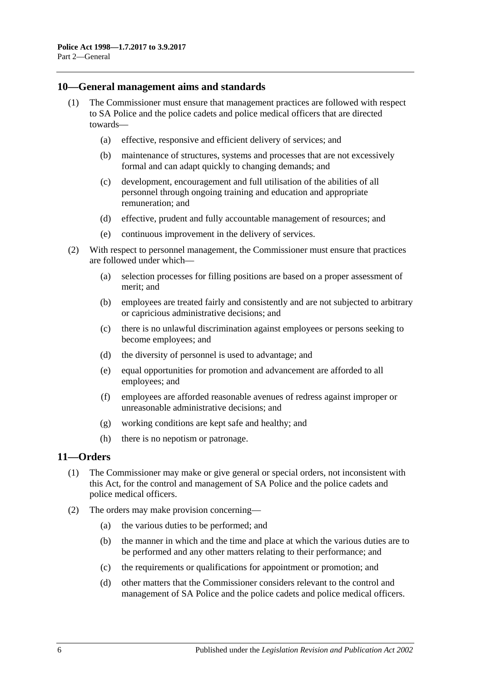#### <span id="page-5-0"></span>**10—General management aims and standards**

- (1) The Commissioner must ensure that management practices are followed with respect to SA Police and the police cadets and police medical officers that are directed towards—
	- (a) effective, responsive and efficient delivery of services; and
	- (b) maintenance of structures, systems and processes that are not excessively formal and can adapt quickly to changing demands; and
	- (c) development, encouragement and full utilisation of the abilities of all personnel through ongoing training and education and appropriate remuneration; and
	- (d) effective, prudent and fully accountable management of resources; and
	- (e) continuous improvement in the delivery of services.
- (2) With respect to personnel management, the Commissioner must ensure that practices are followed under which—
	- (a) selection processes for filling positions are based on a proper assessment of merit; and
	- (b) employees are treated fairly and consistently and are not subjected to arbitrary or capricious administrative decisions; and
	- (c) there is no unlawful discrimination against employees or persons seeking to become employees; and
	- (d) the diversity of personnel is used to advantage; and
	- (e) equal opportunities for promotion and advancement are afforded to all employees; and
	- (f) employees are afforded reasonable avenues of redress against improper or unreasonable administrative decisions; and
	- (g) working conditions are kept safe and healthy; and
	- (h) there is no nepotism or patronage.

## <span id="page-5-1"></span>**11—Orders**

- (1) The Commissioner may make or give general or special orders, not inconsistent with this Act, for the control and management of SA Police and the police cadets and police medical officers.
- (2) The orders may make provision concerning—
	- (a) the various duties to be performed; and
	- (b) the manner in which and the time and place at which the various duties are to be performed and any other matters relating to their performance; and
	- (c) the requirements or qualifications for appointment or promotion; and
	- (d) other matters that the Commissioner considers relevant to the control and management of SA Police and the police cadets and police medical officers.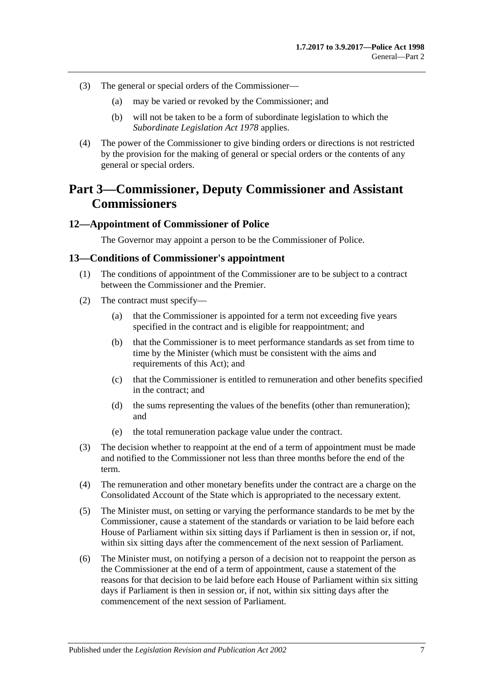- (3) The general or special orders of the Commissioner—
	- (a) may be varied or revoked by the Commissioner; and
	- (b) will not be taken to be a form of subordinate legislation to which the *[Subordinate Legislation Act](http://www.legislation.sa.gov.au/index.aspx?action=legref&type=act&legtitle=Subordinate%20Legislation%20Act%201978) 1978* applies.
- (4) The power of the Commissioner to give binding orders or directions is not restricted by the provision for the making of general or special orders or the contents of any general or special orders.

## <span id="page-6-0"></span>**Part 3—Commissioner, Deputy Commissioner and Assistant Commissioners**

#### <span id="page-6-1"></span>**12—Appointment of Commissioner of Police**

The Governor may appoint a person to be the Commissioner of Police.

#### <span id="page-6-2"></span>**13—Conditions of Commissioner's appointment**

- (1) The conditions of appointment of the Commissioner are to be subject to a contract between the Commissioner and the Premier.
- (2) The contract must specify—
	- (a) that the Commissioner is appointed for a term not exceeding five years specified in the contract and is eligible for reappointment; and
	- (b) that the Commissioner is to meet performance standards as set from time to time by the Minister (which must be consistent with the aims and requirements of this Act); and
	- (c) that the Commissioner is entitled to remuneration and other benefits specified in the contract; and
	- (d) the sums representing the values of the benefits (other than remuneration); and
	- (e) the total remuneration package value under the contract.
- (3) The decision whether to reappoint at the end of a term of appointment must be made and notified to the Commissioner not less than three months before the end of the term.
- (4) The remuneration and other monetary benefits under the contract are a charge on the Consolidated Account of the State which is appropriated to the necessary extent.
- (5) The Minister must, on setting or varying the performance standards to be met by the Commissioner, cause a statement of the standards or variation to be laid before each House of Parliament within six sitting days if Parliament is then in session or, if not, within six sitting days after the commencement of the next session of Parliament.
- (6) The Minister must, on notifying a person of a decision not to reappoint the person as the Commissioner at the end of a term of appointment, cause a statement of the reasons for that decision to be laid before each House of Parliament within six sitting days if Parliament is then in session or, if not, within six sitting days after the commencement of the next session of Parliament.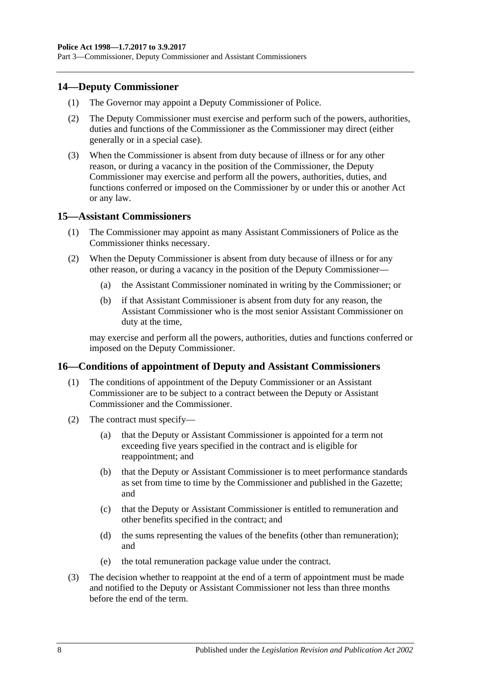Part 3—Commissioner, Deputy Commissioner and Assistant Commissioners

#### <span id="page-7-0"></span>**14—Deputy Commissioner**

- (1) The Governor may appoint a Deputy Commissioner of Police.
- (2) The Deputy Commissioner must exercise and perform such of the powers, authorities, duties and functions of the Commissioner as the Commissioner may direct (either generally or in a special case).
- (3) When the Commissioner is absent from duty because of illness or for any other reason, or during a vacancy in the position of the Commissioner, the Deputy Commissioner may exercise and perform all the powers, authorities, duties, and functions conferred or imposed on the Commissioner by or under this or another Act or any law.

#### <span id="page-7-1"></span>**15—Assistant Commissioners**

- (1) The Commissioner may appoint as many Assistant Commissioners of Police as the Commissioner thinks necessary.
- (2) When the Deputy Commissioner is absent from duty because of illness or for any other reason, or during a vacancy in the position of the Deputy Commissioner—
	- (a) the Assistant Commissioner nominated in writing by the Commissioner; or
	- (b) if that Assistant Commissioner is absent from duty for any reason, the Assistant Commissioner who is the most senior Assistant Commissioner on duty at the time,

may exercise and perform all the powers, authorities, duties and functions conferred or imposed on the Deputy Commissioner.

#### <span id="page-7-2"></span>**16—Conditions of appointment of Deputy and Assistant Commissioners**

- (1) The conditions of appointment of the Deputy Commissioner or an Assistant Commissioner are to be subject to a contract between the Deputy or Assistant Commissioner and the Commissioner.
- (2) The contract must specify—
	- (a) that the Deputy or Assistant Commissioner is appointed for a term not exceeding five years specified in the contract and is eligible for reappointment; and
	- (b) that the Deputy or Assistant Commissioner is to meet performance standards as set from time to time by the Commissioner and published in the Gazette; and
	- (c) that the Deputy or Assistant Commissioner is entitled to remuneration and other benefits specified in the contract; and
	- (d) the sums representing the values of the benefits (other than remuneration); and
	- (e) the total remuneration package value under the contract.
- (3) The decision whether to reappoint at the end of a term of appointment must be made and notified to the Deputy or Assistant Commissioner not less than three months before the end of the term.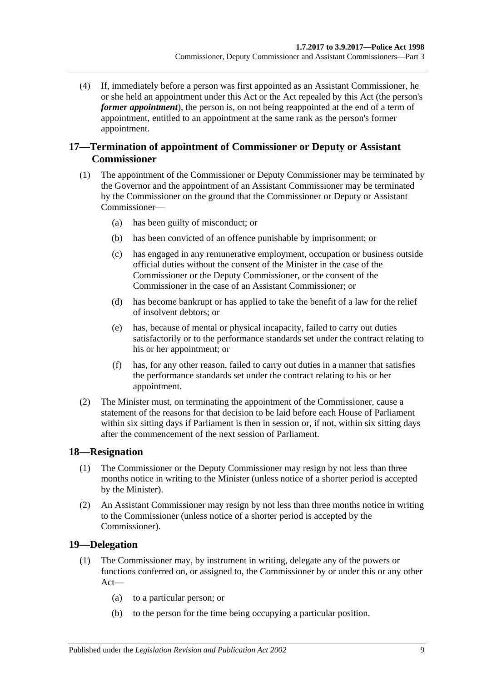(4) If, immediately before a person was first appointed as an Assistant Commissioner, he or she held an appointment under this Act or the Act repealed by this Act (the person's *former appointment*), the person is, on not being reappointed at the end of a term of appointment, entitled to an appointment at the same rank as the person's former appointment.

## <span id="page-8-0"></span>**17—Termination of appointment of Commissioner or Deputy or Assistant Commissioner**

- (1) The appointment of the Commissioner or Deputy Commissioner may be terminated by the Governor and the appointment of an Assistant Commissioner may be terminated by the Commissioner on the ground that the Commissioner or Deputy or Assistant Commissioner—
	- (a) has been guilty of misconduct; or
	- (b) has been convicted of an offence punishable by imprisonment; or
	- (c) has engaged in any remunerative employment, occupation or business outside official duties without the consent of the Minister in the case of the Commissioner or the Deputy Commissioner, or the consent of the Commissioner in the case of an Assistant Commissioner; or
	- (d) has become bankrupt or has applied to take the benefit of a law for the relief of insolvent debtors; or
	- (e) has, because of mental or physical incapacity, failed to carry out duties satisfactorily or to the performance standards set under the contract relating to his or her appointment; or
	- (f) has, for any other reason, failed to carry out duties in a manner that satisfies the performance standards set under the contract relating to his or her appointment.
- (2) The Minister must, on terminating the appointment of the Commissioner, cause a statement of the reasons for that decision to be laid before each House of Parliament within six sitting days if Parliament is then in session or, if not, within six sitting days after the commencement of the next session of Parliament.

## <span id="page-8-1"></span>**18—Resignation**

- (1) The Commissioner or the Deputy Commissioner may resign by not less than three months notice in writing to the Minister (unless notice of a shorter period is accepted by the Minister).
- (2) An Assistant Commissioner may resign by not less than three months notice in writing to the Commissioner (unless notice of a shorter period is accepted by the Commissioner).

## <span id="page-8-2"></span>**19—Delegation**

- (1) The Commissioner may, by instrument in writing, delegate any of the powers or functions conferred on, or assigned to, the Commissioner by or under this or any other Act—
	- (a) to a particular person; or
	- (b) to the person for the time being occupying a particular position.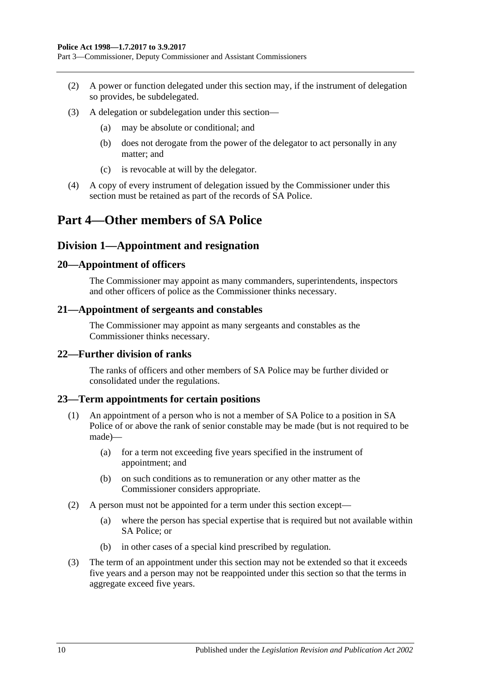Part 3—Commissioner, Deputy Commissioner and Assistant Commissioners

- (2) A power or function delegated under this section may, if the instrument of delegation so provides, be subdelegated.
- (3) A delegation or subdelegation under this section—
	- (a) may be absolute or conditional; and
	- (b) does not derogate from the power of the delegator to act personally in any matter; and
	- (c) is revocable at will by the delegator.
- (4) A copy of every instrument of delegation issued by the Commissioner under this section must be retained as part of the records of SA Police.

## <span id="page-9-1"></span><span id="page-9-0"></span>**Part 4—Other members of SA Police**

## **Division 1—Appointment and resignation**

#### <span id="page-9-2"></span>**20—Appointment of officers**

The Commissioner may appoint as many commanders, superintendents, inspectors and other officers of police as the Commissioner thinks necessary.

#### <span id="page-9-3"></span>**21—Appointment of sergeants and constables**

The Commissioner may appoint as many sergeants and constables as the Commissioner thinks necessary.

#### <span id="page-9-4"></span>**22—Further division of ranks**

The ranks of officers and other members of SA Police may be further divided or consolidated under the regulations.

#### <span id="page-9-5"></span>**23—Term appointments for certain positions**

- (1) An appointment of a person who is not a member of SA Police to a position in SA Police of or above the rank of senior constable may be made (but is not required to be made)—
	- (a) for a term not exceeding five years specified in the instrument of appointment; and
	- (b) on such conditions as to remuneration or any other matter as the Commissioner considers appropriate.
- (2) A person must not be appointed for a term under this section except—
	- (a) where the person has special expertise that is required but not available within SA Police; or
	- (b) in other cases of a special kind prescribed by regulation.
- (3) The term of an appointment under this section may not be extended so that it exceeds five years and a person may not be reappointed under this section so that the terms in aggregate exceed five years.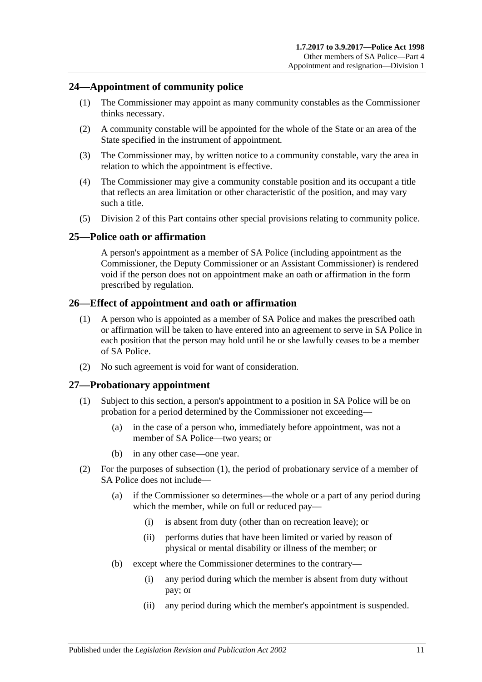## <span id="page-10-0"></span>**24—Appointment of community police**

- (1) The Commissioner may appoint as many community constables as the Commissioner thinks necessary.
- (2) A community constable will be appointed for the whole of the State or an area of the State specified in the instrument of appointment.
- (3) The Commissioner may, by written notice to a community constable, vary the area in relation to which the appointment is effective.
- (4) The Commissioner may give a community constable position and its occupant a title that reflects an area limitation or other characteristic of the position, and may vary such a title.
- (5) [Division 2](#page-12-0) of this Part contains other special provisions relating to community police.

#### <span id="page-10-1"></span>**25—Police oath or affirmation**

A person's appointment as a member of SA Police (including appointment as the Commissioner, the Deputy Commissioner or an Assistant Commissioner) is rendered void if the person does not on appointment make an oath or affirmation in the form prescribed by regulation.

#### <span id="page-10-2"></span>**26—Effect of appointment and oath or affirmation**

- (1) A person who is appointed as a member of SA Police and makes the prescribed oath or affirmation will be taken to have entered into an agreement to serve in SA Police in each position that the person may hold until he or she lawfully ceases to be a member of SA Police.
- (2) No such agreement is void for want of consideration.

#### <span id="page-10-4"></span><span id="page-10-3"></span>**27—Probationary appointment**

- (1) Subject to this section, a person's appointment to a position in SA Police will be on probation for a period determined by the Commissioner not exceeding—
	- (a) in the case of a person who, immediately before appointment, was not a member of SA Police—two years; or
	- (b) in any other case—one year.
- (2) For the purposes of [subsection](#page-10-4) (1), the period of probationary service of a member of SA Police does not include—
	- (a) if the Commissioner so determines—the whole or a part of any period during which the member, while on full or reduced pay—
		- (i) is absent from duty (other than on recreation leave); or
		- (ii) performs duties that have been limited or varied by reason of physical or mental disability or illness of the member; or
	- (b) except where the Commissioner determines to the contrary—
		- (i) any period during which the member is absent from duty without pay; or
		- (ii) any period during which the member's appointment is suspended.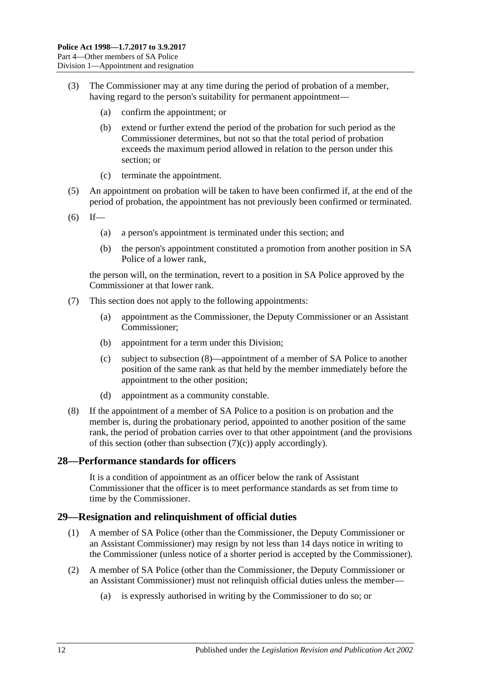- (3) The Commissioner may at any time during the period of probation of a member, having regard to the person's suitability for permanent appointment—
	- (a) confirm the appointment; or
	- (b) extend or further extend the period of the probation for such period as the Commissioner determines, but not so that the total period of probation exceeds the maximum period allowed in relation to the person under this section; or
	- (c) terminate the appointment.
- (5) An appointment on probation will be taken to have been confirmed if, at the end of the period of probation, the appointment has not previously been confirmed or terminated.
- $(6)$  If—
	- (a) a person's appointment is terminated under this section; and
	- (b) the person's appointment constituted a promotion from another position in SA Police of a lower rank,

the person will, on the termination, revert to a position in SA Police approved by the Commissioner at that lower rank.

- <span id="page-11-3"></span>(7) This section does not apply to the following appointments:
	- (a) appointment as the Commissioner, the Deputy Commissioner or an Assistant Commissioner;
	- (b) appointment for a term under this Division;
	- (c) subject to [subsection](#page-11-2) (8)—appointment of a member of SA Police to another position of the same rank as that held by the member immediately before the appointment to the other position;
	- (d) appointment as a community constable.
- <span id="page-11-2"></span>(8) If the appointment of a member of SA Police to a position is on probation and the member is, during the probationary period, appointed to another position of the same rank, the period of probation carries over to that other appointment (and the provisions of this section (other than [subsection](#page-11-3)  $(7)(c)$ ) apply accordingly).

#### <span id="page-11-0"></span>**28—Performance standards for officers**

It is a condition of appointment as an officer below the rank of Assistant Commissioner that the officer is to meet performance standards as set from time to time by the Commissioner.

#### <span id="page-11-1"></span>**29—Resignation and relinquishment of official duties**

- (1) A member of SA Police (other than the Commissioner, the Deputy Commissioner or an Assistant Commissioner) may resign by not less than 14 days notice in writing to the Commissioner (unless notice of a shorter period is accepted by the Commissioner).
- (2) A member of SA Police (other than the Commissioner, the Deputy Commissioner or an Assistant Commissioner) must not relinquish official duties unless the member—
	- (a) is expressly authorised in writing by the Commissioner to do so; or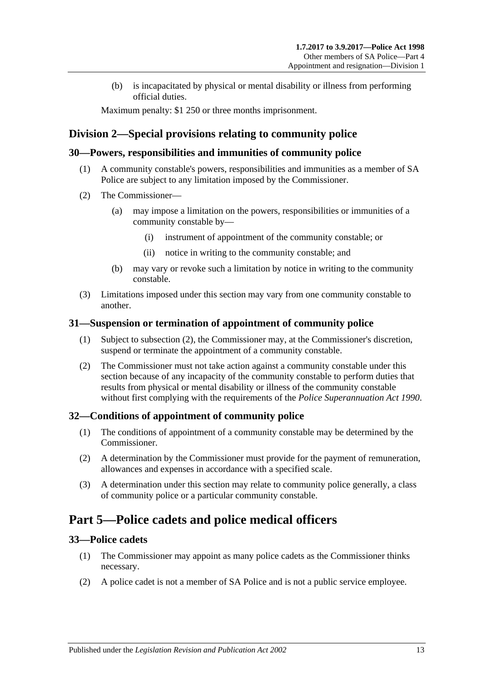(b) is incapacitated by physical or mental disability or illness from performing official duties.

Maximum penalty: \$1 250 or three months imprisonment.

## <span id="page-12-0"></span>**Division 2—Special provisions relating to community police**

## <span id="page-12-1"></span>**30—Powers, responsibilities and immunities of community police**

- (1) A community constable's powers, responsibilities and immunities as a member of SA Police are subject to any limitation imposed by the Commissioner.
- (2) The Commissioner—
	- (a) may impose a limitation on the powers, responsibilities or immunities of a community constable by—
		- (i) instrument of appointment of the community constable; or
		- (ii) notice in writing to the community constable; and
	- (b) may vary or revoke such a limitation by notice in writing to the community constable.
- (3) Limitations imposed under this section may vary from one community constable to another.

## <span id="page-12-2"></span>**31—Suspension or termination of appointment of community police**

- (1) Subject to [subsection](#page-12-6) (2), the Commissioner may, at the Commissioner's discretion, suspend or terminate the appointment of a community constable.
- <span id="page-12-6"></span>(2) The Commissioner must not take action against a community constable under this section because of any incapacity of the community constable to perform duties that results from physical or mental disability or illness of the community constable without first complying with the requirements of the *[Police Superannuation Act](http://www.legislation.sa.gov.au/index.aspx?action=legref&type=act&legtitle=Police%20Superannuation%20Act%201990) 1990*.

## <span id="page-12-3"></span>**32—Conditions of appointment of community police**

- (1) The conditions of appointment of a community constable may be determined by the Commissioner.
- (2) A determination by the Commissioner must provide for the payment of remuneration, allowances and expenses in accordance with a specified scale.
- (3) A determination under this section may relate to community police generally, a class of community police or a particular community constable.

## <span id="page-12-4"></span>**Part 5—Police cadets and police medical officers**

## <span id="page-12-5"></span>**33—Police cadets**

- (1) The Commissioner may appoint as many police cadets as the Commissioner thinks necessary.
- (2) A police cadet is not a member of SA Police and is not a public service employee.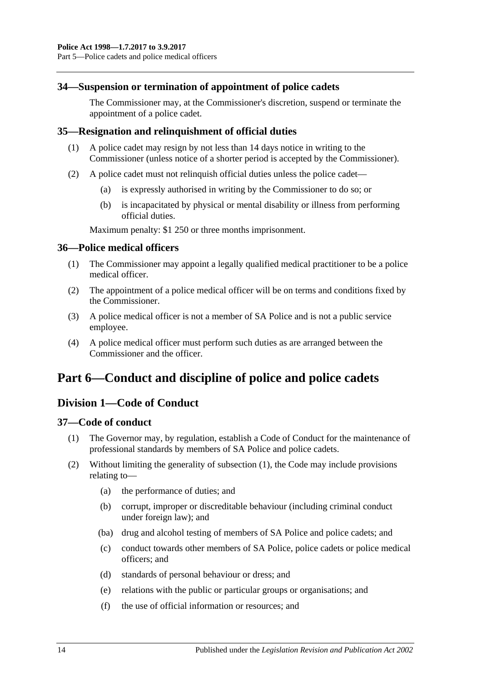#### <span id="page-13-0"></span>**34—Suspension or termination of appointment of police cadets**

The Commissioner may, at the Commissioner's discretion, suspend or terminate the appointment of a police cadet.

#### <span id="page-13-1"></span>**35—Resignation and relinquishment of official duties**

- (1) A police cadet may resign by not less than 14 days notice in writing to the Commissioner (unless notice of a shorter period is accepted by the Commissioner).
- (2) A police cadet must not relinquish official duties unless the police cadet—
	- (a) is expressly authorised in writing by the Commissioner to do so; or
	- (b) is incapacitated by physical or mental disability or illness from performing official duties.

Maximum penalty: \$1 250 or three months imprisonment.

#### <span id="page-13-2"></span>**36—Police medical officers**

- (1) The Commissioner may appoint a legally qualified medical practitioner to be a police medical officer.
- (2) The appointment of a police medical officer will be on terms and conditions fixed by the Commissioner.
- (3) A police medical officer is not a member of SA Police and is not a public service employee.
- (4) A police medical officer must perform such duties as are arranged between the Commissioner and the officer.

## <span id="page-13-4"></span><span id="page-13-3"></span>**Part 6—Conduct and discipline of police and police cadets**

## **Division 1—Code of Conduct**

#### <span id="page-13-6"></span><span id="page-13-5"></span>**37—Code of conduct**

- (1) The Governor may, by regulation, establish a Code of Conduct for the maintenance of professional standards by members of SA Police and police cadets.
- (2) Without limiting the generality of [subsection](#page-13-6) (1), the Code may include provisions relating to—
	- (a) the performance of duties; and
	- (b) corrupt, improper or discreditable behaviour (including criminal conduct under foreign law); and
	- (ba) drug and alcohol testing of members of SA Police and police cadets; and
	- (c) conduct towards other members of SA Police, police cadets or police medical officers; and
	- (d) standards of personal behaviour or dress; and
	- (e) relations with the public or particular groups or organisations; and
	- (f) the use of official information or resources; and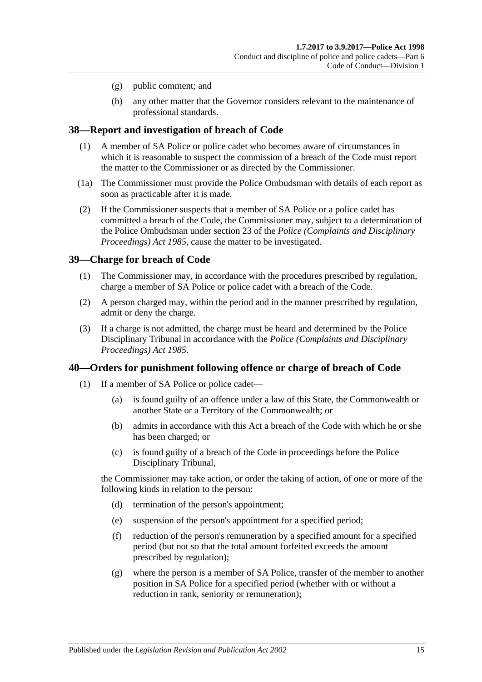- (g) public comment; and
- (h) any other matter that the Governor considers relevant to the maintenance of professional standards.

#### <span id="page-14-0"></span>**38—Report and investigation of breach of Code**

- (1) A member of SA Police or police cadet who becomes aware of circumstances in which it is reasonable to suspect the commission of a breach of the Code must report the matter to the Commissioner or as directed by the Commissioner.
- (1a) The Commissioner must provide the Police Ombudsman with details of each report as soon as practicable after it is made.
- (2) If the Commissioner suspects that a member of SA Police or a police cadet has committed a breach of the Code, the Commissioner may, subject to a determination of the Police Ombudsman under section 23 of the *[Police \(Complaints and Disciplinary](http://www.legislation.sa.gov.au/index.aspx?action=legref&type=act&legtitle=Police%20(Complaints%20and%20Disciplinary%20Proceedings)%20Act%201985)  [Proceedings\) Act](http://www.legislation.sa.gov.au/index.aspx?action=legref&type=act&legtitle=Police%20(Complaints%20and%20Disciplinary%20Proceedings)%20Act%201985) 1985*, cause the matter to be investigated.

#### <span id="page-14-1"></span>**39—Charge for breach of Code**

- (1) The Commissioner may, in accordance with the procedures prescribed by regulation, charge a member of SA Police or police cadet with a breach of the Code.
- (2) A person charged may, within the period and in the manner prescribed by regulation, admit or deny the charge.
- (3) If a charge is not admitted, the charge must be heard and determined by the Police Disciplinary Tribunal in accordance with the *[Police \(Complaints and Disciplinary](http://www.legislation.sa.gov.au/index.aspx?action=legref&type=act&legtitle=Police%20(Complaints%20and%20Disciplinary%20Proceedings)%20Act%201985)  [Proceedings\) Act](http://www.legislation.sa.gov.au/index.aspx?action=legref&type=act&legtitle=Police%20(Complaints%20and%20Disciplinary%20Proceedings)%20Act%201985) 1985*.

#### <span id="page-14-2"></span>**40—Orders for punishment following offence or charge of breach of Code**

- (1) If a member of SA Police or police cadet—
	- (a) is found guilty of an offence under a law of this State, the Commonwealth or another State or a Territory of the Commonwealth; or
	- (b) admits in accordance with this Act a breach of the Code with which he or she has been charged; or
	- (c) is found guilty of a breach of the Code in proceedings before the Police Disciplinary Tribunal,

the Commissioner may take action, or order the taking of action, of one or more of the following kinds in relation to the person:

- (d) termination of the person's appointment;
- (e) suspension of the person's appointment for a specified period;
- (f) reduction of the person's remuneration by a specified amount for a specified period (but not so that the total amount forfeited exceeds the amount prescribed by regulation);
- <span id="page-14-3"></span>(g) where the person is a member of SA Police, transfer of the member to another position in SA Police for a specified period (whether with or without a reduction in rank, seniority or remuneration);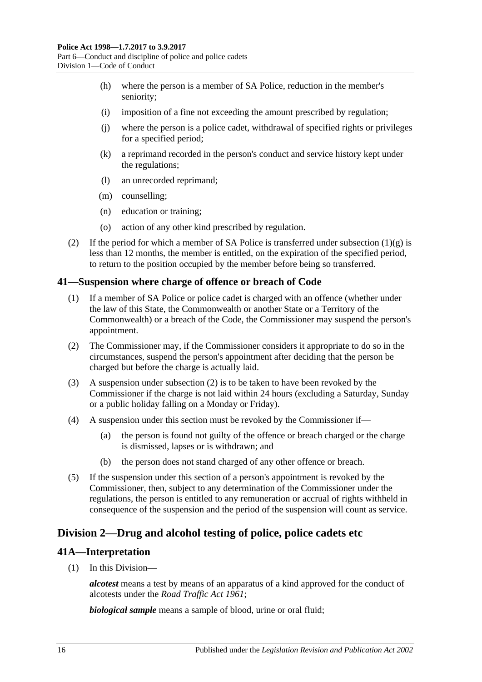- (h) where the person is a member of SA Police, reduction in the member's seniority;
- (i) imposition of a fine not exceeding the amount prescribed by regulation;
- (j) where the person is a police cadet, withdrawal of specified rights or privileges for a specified period;
- (k) a reprimand recorded in the person's conduct and service history kept under the regulations;
- (l) an unrecorded reprimand;
- (m) counselling;
- (n) education or training;
- (o) action of any other kind prescribed by regulation.
- (2) If the period for which a member of SA Police is transferred under [subsection](#page-14-3)  $(1)(g)$  is less than 12 months, the member is entitled, on the expiration of the specified period, to return to the position occupied by the member before being so transferred.

#### <span id="page-15-0"></span>**41—Suspension where charge of offence or breach of Code**

- (1) If a member of SA Police or police cadet is charged with an offence (whether under the law of this State, the Commonwealth or another State or a Territory of the Commonwealth) or a breach of the Code, the Commissioner may suspend the person's appointment.
- <span id="page-15-3"></span>(2) The Commissioner may, if the Commissioner considers it appropriate to do so in the circumstances, suspend the person's appointment after deciding that the person be charged but before the charge is actually laid.
- (3) A suspension under [subsection](#page-15-3) (2) is to be taken to have been revoked by the Commissioner if the charge is not laid within 24 hours (excluding a Saturday, Sunday or a public holiday falling on a Monday or Friday).
- (4) A suspension under this section must be revoked by the Commissioner if—
	- (a) the person is found not guilty of the offence or breach charged or the charge is dismissed, lapses or is withdrawn; and
	- (b) the person does not stand charged of any other offence or breach.
- (5) If the suspension under this section of a person's appointment is revoked by the Commissioner, then, subject to any determination of the Commissioner under the regulations, the person is entitled to any remuneration or accrual of rights withheld in consequence of the suspension and the period of the suspension will count as service.

## <span id="page-15-1"></span>**Division 2—Drug and alcohol testing of police, police cadets etc**

## <span id="page-15-2"></span>**41A—Interpretation**

(1) In this Division—

*alcotest* means a test by means of an apparatus of a kind approved for the conduct of alcotests under the *[Road Traffic Act](http://www.legislation.sa.gov.au/index.aspx?action=legref&type=act&legtitle=Road%20Traffic%20Act%201961) 1961*;

*biological sample* means a sample of blood, urine or oral fluid;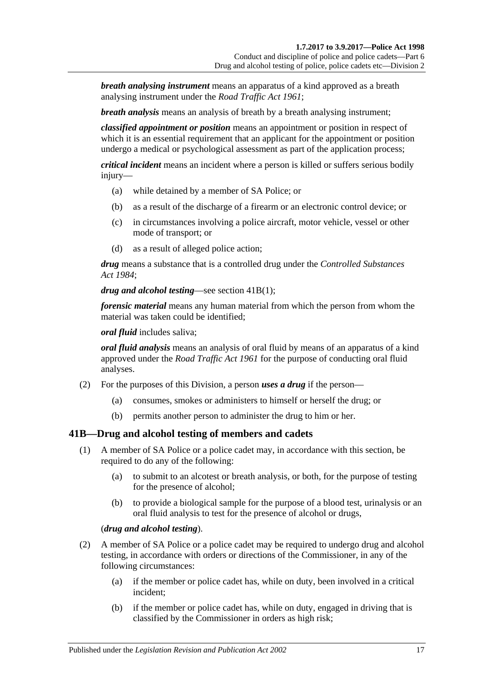*breath analysing instrument* means an apparatus of a kind approved as a breath analysing instrument under the *[Road Traffic Act](http://www.legislation.sa.gov.au/index.aspx?action=legref&type=act&legtitle=Road%20Traffic%20Act%201961) 1961*;

*breath analysis* means an analysis of breath by a breath analysing instrument;

*classified appointment or position* means an appointment or position in respect of which it is an essential requirement that an applicant for the appointment or position undergo a medical or psychological assessment as part of the application process;

*critical incident* means an incident where a person is killed or suffers serious bodily injury—

- (a) while detained by a member of SA Police; or
- (b) as a result of the discharge of a firearm or an electronic control device; or
- (c) in circumstances involving a police aircraft, motor vehicle, vessel or other mode of transport; or
- (d) as a result of alleged police action;

*drug* means a substance that is a controlled drug under the *[Controlled Substances](http://www.legislation.sa.gov.au/index.aspx?action=legref&type=act&legtitle=Controlled%20Substances%20Act%201984)  Act [1984](http://www.legislation.sa.gov.au/index.aspx?action=legref&type=act&legtitle=Controlled%20Substances%20Act%201984)*;

*drug and alcohol testing*—see [section](#page-16-1) 41B(1);

*forensic material* means any human material from which the person from whom the material was taken could be identified;

*oral fluid* includes saliva;

*oral fluid analysis* means an analysis of oral fluid by means of an apparatus of a kind approved under the *[Road Traffic Act](http://www.legislation.sa.gov.au/index.aspx?action=legref&type=act&legtitle=Road%20Traffic%20Act%201961) 1961* for the purpose of conducting oral fluid analyses.

- (2) For the purposes of this Division, a person *uses a drug* if the person—
	- (a) consumes, smokes or administers to himself or herself the drug; or
	- (b) permits another person to administer the drug to him or her.

## <span id="page-16-1"></span><span id="page-16-0"></span>**41B—Drug and alcohol testing of members and cadets**

- (1) A member of SA Police or a police cadet may, in accordance with this section, be required to do any of the following:
	- (a) to submit to an alcotest or breath analysis, or both, for the purpose of testing for the presence of alcohol;
	- (b) to provide a biological sample for the purpose of a blood test, urinalysis or an oral fluid analysis to test for the presence of alcohol or drugs,

## (*drug and alcohol testing*).

- (2) A member of SA Police or a police cadet may be required to undergo drug and alcohol testing, in accordance with orders or directions of the Commissioner, in any of the following circumstances:
	- (a) if the member or police cadet has, while on duty, been involved in a critical incident;
	- (b) if the member or police cadet has, while on duty, engaged in driving that is classified by the Commissioner in orders as high risk;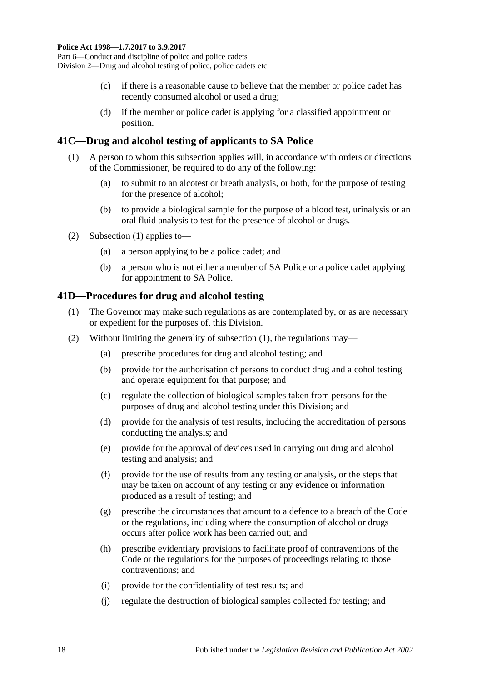- (c) if there is a reasonable cause to believe that the member or police cadet has recently consumed alcohol or used a drug;
- (d) if the member or police cadet is applying for a classified appointment or position.

## <span id="page-17-2"></span><span id="page-17-0"></span>**41C—Drug and alcohol testing of applicants to SA Police**

- (1) A person to whom this subsection applies will, in accordance with orders or directions of the Commissioner, be required to do any of the following:
	- (a) to submit to an alcotest or breath analysis, or both, for the purpose of testing for the presence of alcohol;
	- (b) to provide a biological sample for the purpose of a blood test, urinalysis or an oral fluid analysis to test for the presence of alcohol or drugs.
- (2) [Subsection \(1\)](#page-17-2) applies to—
	- (a) a person applying to be a police cadet; and
	- (b) a person who is not either a member of SA Police or a police cadet applying for appointment to SA Police.

#### <span id="page-17-3"></span><span id="page-17-1"></span>**41D—Procedures for drug and alcohol testing**

- (1) The Governor may make such regulations as are contemplated by, or as are necessary or expedient for the purposes of, this Division.
- (2) Without limiting the generality of [subsection](#page-17-3) (1), the regulations may—
	- (a) prescribe procedures for drug and alcohol testing; and
	- (b) provide for the authorisation of persons to conduct drug and alcohol testing and operate equipment for that purpose; and
	- (c) regulate the collection of biological samples taken from persons for the purposes of drug and alcohol testing under this Division; and
	- (d) provide for the analysis of test results, including the accreditation of persons conducting the analysis; and
	- (e) provide for the approval of devices used in carrying out drug and alcohol testing and analysis; and
	- (f) provide for the use of results from any testing or analysis, or the steps that may be taken on account of any testing or any evidence or information produced as a result of testing; and
	- (g) prescribe the circumstances that amount to a defence to a breach of the Code or the regulations, including where the consumption of alcohol or drugs occurs after police work has been carried out; and
	- (h) prescribe evidentiary provisions to facilitate proof of contraventions of the Code or the regulations for the purposes of proceedings relating to those contraventions; and
	- (i) provide for the confidentiality of test results; and
	- (j) regulate the destruction of biological samples collected for testing; and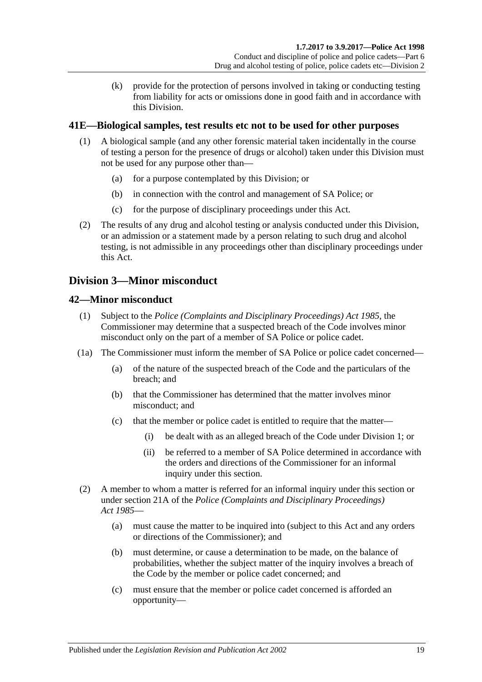(k) provide for the protection of persons involved in taking or conducting testing from liability for acts or omissions done in good faith and in accordance with this Division.

## <span id="page-18-0"></span>**41E—Biological samples, test results etc not to be used for other purposes**

- (1) A biological sample (and any other forensic material taken incidentally in the course of testing a person for the presence of drugs or alcohol) taken under this Division must not be used for any purpose other than—
	- (a) for a purpose contemplated by this Division; or
	- (b) in connection with the control and management of SA Police; or
	- (c) for the purpose of disciplinary proceedings under this Act.
- (2) The results of any drug and alcohol testing or analysis conducted under this Division, or an admission or a statement made by a person relating to such drug and alcohol testing, is not admissible in any proceedings other than disciplinary proceedings under this Act.

## <span id="page-18-1"></span>**Division 3—Minor misconduct**

## <span id="page-18-2"></span>**42—Minor misconduct**

- (1) Subject to the *[Police \(Complaints and Disciplinary Proceedings\) Act](http://www.legislation.sa.gov.au/index.aspx?action=legref&type=act&legtitle=Police%20(Complaints%20and%20Disciplinary%20Proceedings)%20Act%201985) 1985*, the Commissioner may determine that a suspected breach of the Code involves minor misconduct only on the part of a member of SA Police or police cadet.
- (1a) The Commissioner must inform the member of SA Police or police cadet concerned—
	- (a) of the nature of the suspected breach of the Code and the particulars of the breach; and
	- (b) that the Commissioner has determined that the matter involves minor misconduct; and
	- (c) that the member or police cadet is entitled to require that the matter—
		- (i) be dealt with as an alleged breach of the Code under [Division 1;](#page-13-4) or
		- (ii) be referred to a member of SA Police determined in accordance with the orders and directions of the Commissioner for an informal inquiry under this section.
- (2) A member to whom a matter is referred for an informal inquiry under this section or under section 21A of the *[Police \(Complaints and Disciplinary Proceedings\)](http://www.legislation.sa.gov.au/index.aspx?action=legref&type=act&legtitle=Police%20(Complaints%20and%20Disciplinary%20Proceedings)%20Act%201985)  Act [1985](http://www.legislation.sa.gov.au/index.aspx?action=legref&type=act&legtitle=Police%20(Complaints%20and%20Disciplinary%20Proceedings)%20Act%201985)*—
	- (a) must cause the matter to be inquired into (subject to this Act and any orders or directions of the Commissioner); and
	- (b) must determine, or cause a determination to be made, on the balance of probabilities, whether the subject matter of the inquiry involves a breach of the Code by the member or police cadet concerned; and
	- (c) must ensure that the member or police cadet concerned is afforded an opportunity—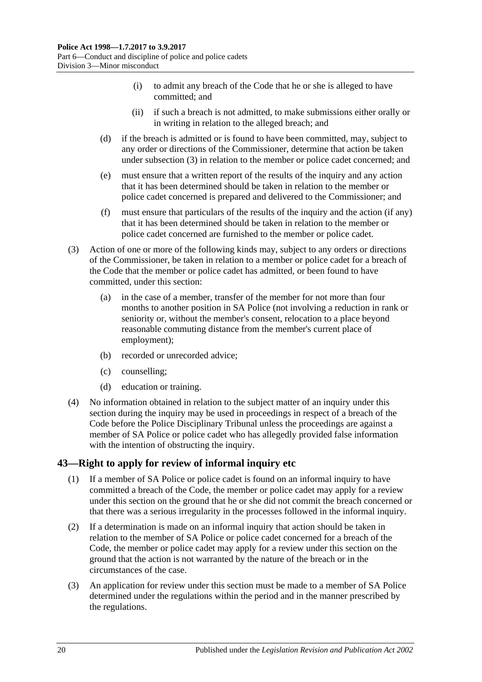- (i) to admit any breach of the Code that he or she is alleged to have committed; and
- (ii) if such a breach is not admitted, to make submissions either orally or in writing in relation to the alleged breach; and
- (d) if the breach is admitted or is found to have been committed, may, subject to any order or directions of the Commissioner, determine that action be taken under [subsection](#page-19-1) (3) in relation to the member or police cadet concerned; and
- (e) must ensure that a written report of the results of the inquiry and any action that it has been determined should be taken in relation to the member or police cadet concerned is prepared and delivered to the Commissioner; and
- (f) must ensure that particulars of the results of the inquiry and the action (if any) that it has been determined should be taken in relation to the member or police cadet concerned are furnished to the member or police cadet.
- <span id="page-19-1"></span>(3) Action of one or more of the following kinds may, subject to any orders or directions of the Commissioner, be taken in relation to a member or police cadet for a breach of the Code that the member or police cadet has admitted, or been found to have committed, under this section:
	- (a) in the case of a member, transfer of the member for not more than four months to another position in SA Police (not involving a reduction in rank or seniority or, without the member's consent, relocation to a place beyond reasonable commuting distance from the member's current place of employment);
	- (b) recorded or unrecorded advice;
	- (c) counselling;
	- (d) education or training.
- (4) No information obtained in relation to the subject matter of an inquiry under this section during the inquiry may be used in proceedings in respect of a breach of the Code before the Police Disciplinary Tribunal unless the proceedings are against a member of SA Police or police cadet who has allegedly provided false information with the intention of obstructing the inquiry.

## <span id="page-19-0"></span>**43—Right to apply for review of informal inquiry etc**

- (1) If a member of SA Police or police cadet is found on an informal inquiry to have committed a breach of the Code, the member or police cadet may apply for a review under this section on the ground that he or she did not commit the breach concerned or that there was a serious irregularity in the processes followed in the informal inquiry.
- (2) If a determination is made on an informal inquiry that action should be taken in relation to the member of SA Police or police cadet concerned for a breach of the Code, the member or police cadet may apply for a review under this section on the ground that the action is not warranted by the nature of the breach or in the circumstances of the case.
- (3) An application for review under this section must be made to a member of SA Police determined under the regulations within the period and in the manner prescribed by the regulations.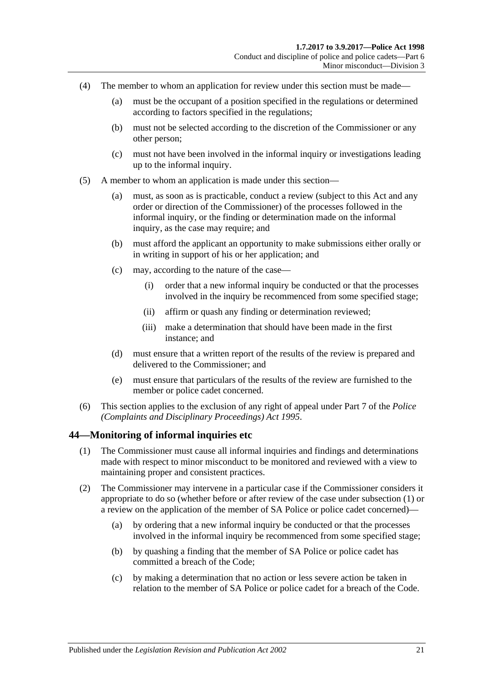- (4) The member to whom an application for review under this section must be made—
	- (a) must be the occupant of a position specified in the regulations or determined according to factors specified in the regulations;
	- (b) must not be selected according to the discretion of the Commissioner or any other person;
	- (c) must not have been involved in the informal inquiry or investigations leading up to the informal inquiry.
- (5) A member to whom an application is made under this section—
	- (a) must, as soon as is practicable, conduct a review (subject to this Act and any order or direction of the Commissioner) of the processes followed in the informal inquiry, or the finding or determination made on the informal inquiry, as the case may require; and
	- (b) must afford the applicant an opportunity to make submissions either orally or in writing in support of his or her application; and
	- (c) may, according to the nature of the case—
		- (i) order that a new informal inquiry be conducted or that the processes involved in the inquiry be recommenced from some specified stage;
		- (ii) affirm or quash any finding or determination reviewed;
		- (iii) make a determination that should have been made in the first instance; and
	- (d) must ensure that a written report of the results of the review is prepared and delivered to the Commissioner; and
	- (e) must ensure that particulars of the results of the review are furnished to the member or police cadet concerned.
- (6) This section applies to the exclusion of any right of appeal under Part 7 of the *[Police](http://www.legislation.sa.gov.au/index.aspx?action=legref&type=act&legtitle=Police%20(Complaints%20and%20Disciplinary%20Proceedings)%20Act%201995)  [\(Complaints and Disciplinary Proceedings\) Act](http://www.legislation.sa.gov.au/index.aspx?action=legref&type=act&legtitle=Police%20(Complaints%20and%20Disciplinary%20Proceedings)%20Act%201995) 1995*.

## <span id="page-20-1"></span><span id="page-20-0"></span>**44—Monitoring of informal inquiries etc**

- (1) The Commissioner must cause all informal inquiries and findings and determinations made with respect to minor misconduct to be monitored and reviewed with a view to maintaining proper and consistent practices.
- (2) The Commissioner may intervene in a particular case if the Commissioner considers it appropriate to do so (whether before or after review of the case under [subsection](#page-20-1) (1) or a review on the application of the member of SA Police or police cadet concerned)—
	- (a) by ordering that a new informal inquiry be conducted or that the processes involved in the informal inquiry be recommenced from some specified stage;
	- (b) by quashing a finding that the member of SA Police or police cadet has committed a breach of the Code;
	- (c) by making a determination that no action or less severe action be taken in relation to the member of SA Police or police cadet for a breach of the Code.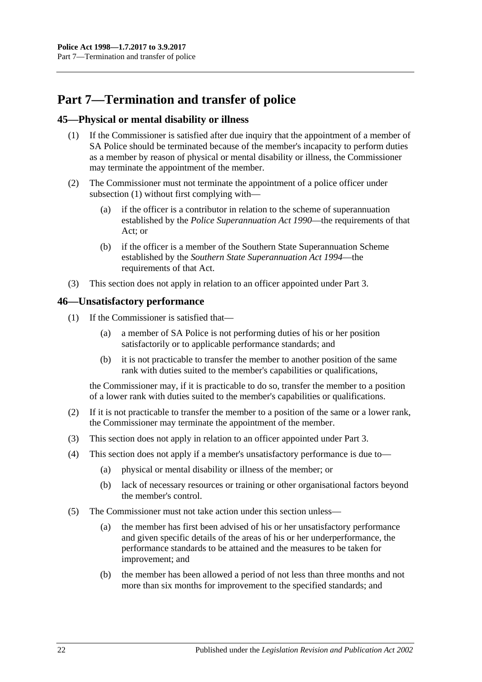## <span id="page-21-0"></span>**Part 7—Termination and transfer of police**

#### <span id="page-21-3"></span><span id="page-21-1"></span>**45—Physical or mental disability or illness**

- (1) If the Commissioner is satisfied after due inquiry that the appointment of a member of SA Police should be terminated because of the member's incapacity to perform duties as a member by reason of physical or mental disability or illness, the Commissioner may terminate the appointment of the member.
- (2) The Commissioner must not terminate the appointment of a police officer under [subsection](#page-21-3) (1) without first complying with—
	- (a) if the officer is a contributor in relation to the scheme of superannuation established by the *[Police Superannuation Act](http://www.legislation.sa.gov.au/index.aspx?action=legref&type=act&legtitle=Police%20Superannuation%20Act%201990) 1990*—the requirements of that Act; or
	- (b) if the officer is a member of the Southern State Superannuation Scheme established by the *[Southern State Superannuation Act](http://www.legislation.sa.gov.au/index.aspx?action=legref&type=act&legtitle=Southern%20State%20Superannuation%20Act%201994) 1994*—the requirements of that Act.
- (3) This section does not apply in relation to an officer appointed under [Part 3.](#page-6-0)

#### <span id="page-21-2"></span>**46—Unsatisfactory performance**

- (1) If the Commissioner is satisfied that—
	- (a) a member of SA Police is not performing duties of his or her position satisfactorily or to applicable performance standards; and
	- (b) it is not practicable to transfer the member to another position of the same rank with duties suited to the member's capabilities or qualifications,

the Commissioner may, if it is practicable to do so, transfer the member to a position of a lower rank with duties suited to the member's capabilities or qualifications.

- (2) If it is not practicable to transfer the member to a position of the same or a lower rank, the Commissioner may terminate the appointment of the member.
- (3) This section does not apply in relation to an officer appointed under [Part 3.](#page-6-0)
- (4) This section does not apply if a member's unsatisfactory performance is due to—
	- (a) physical or mental disability or illness of the member; or
	- (b) lack of necessary resources or training or other organisational factors beyond the member's control.
- (5) The Commissioner must not take action under this section unless—
	- (a) the member has first been advised of his or her unsatisfactory performance and given specific details of the areas of his or her underperformance, the performance standards to be attained and the measures to be taken for improvement; and
	- (b) the member has been allowed a period of not less than three months and not more than six months for improvement to the specified standards; and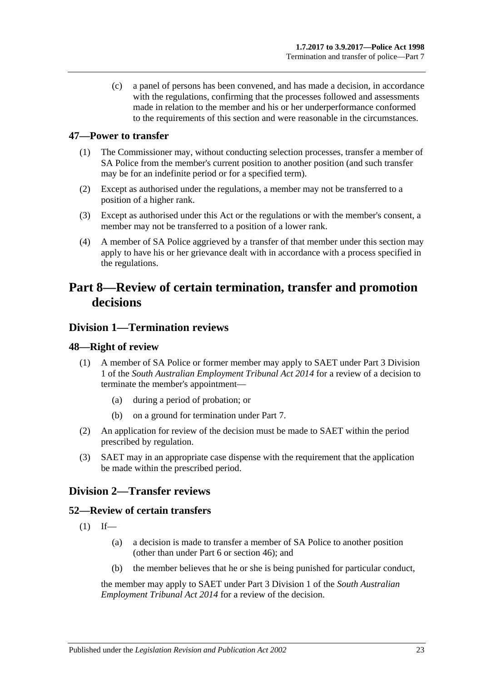(c) a panel of persons has been convened, and has made a decision, in accordance with the regulations, confirming that the processes followed and assessments made in relation to the member and his or her underperformance conformed to the requirements of this section and were reasonable in the circumstances.

## <span id="page-22-0"></span>**47—Power to transfer**

- (1) The Commissioner may, without conducting selection processes, transfer a member of SA Police from the member's current position to another position (and such transfer may be for an indefinite period or for a specified term).
- (2) Except as authorised under the regulations, a member may not be transferred to a position of a higher rank.
- (3) Except as authorised under this Act or the regulations or with the member's consent, a member may not be transferred to a position of a lower rank.
- (4) A member of SA Police aggrieved by a transfer of that member under this section may apply to have his or her grievance dealt with in accordance with a process specified in the regulations.

## <span id="page-22-1"></span>**Part 8—Review of certain termination, transfer and promotion decisions**

## <span id="page-22-2"></span>**Division 1—Termination reviews**

## <span id="page-22-3"></span>**48—Right of review**

- (1) A member of SA Police or former member may apply to SAET under Part 3 Division 1 of the *[South Australian Employment Tribunal Act](http://www.legislation.sa.gov.au/index.aspx?action=legref&type=act&legtitle=South%20Australian%20Employment%20Tribunal%20Act%202014) 2014* for a review of a decision to terminate the member's appointment—
	- (a) during a period of probation; or
	- (b) on a ground for termination under [Part 7.](#page-21-0)
- (2) An application for review of the decision must be made to SAET within the period prescribed by regulation.
- (3) SAET may in an appropriate case dispense with the requirement that the application be made within the prescribed period.

## <span id="page-22-4"></span>**Division 2—Transfer reviews**

## <span id="page-22-5"></span>**52—Review of certain transfers**

- $(1)$  If—
	- (a) a decision is made to transfer a member of SA Police to another position (other than under [Part 6](#page-13-3) or [section](#page-21-2) 46); and
	- (b) the member believes that he or she is being punished for particular conduct,

the member may apply to SAET under Part 3 Division 1 of the *[South Australian](http://www.legislation.sa.gov.au/index.aspx?action=legref&type=act&legtitle=South%20Australian%20Employment%20Tribunal%20Act%202014)  [Employment Tribunal Act](http://www.legislation.sa.gov.au/index.aspx?action=legref&type=act&legtitle=South%20Australian%20Employment%20Tribunal%20Act%202014) 2014* for a review of the decision.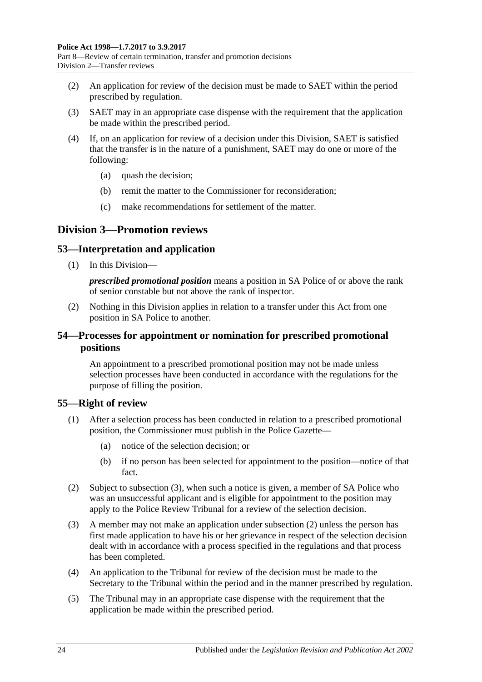- (2) An application for review of the decision must be made to SAET within the period prescribed by regulation.
- (3) SAET may in an appropriate case dispense with the requirement that the application be made within the prescribed period.
- (4) If, on an application for review of a decision under this Division, SAET is satisfied that the transfer is in the nature of a punishment, SAET may do one or more of the following:
	- (a) quash the decision;
	- (b) remit the matter to the Commissioner for reconsideration;
	- (c) make recommendations for settlement of the matter.

## <span id="page-23-0"></span>**Division 3—Promotion reviews**

## <span id="page-23-1"></span>**53—Interpretation and application**

(1) In this Division—

*prescribed promotional position* means a position in SA Police of or above the rank of senior constable but not above the rank of inspector.

(2) Nothing in this Division applies in relation to a transfer under this Act from one position in SA Police to another.

## <span id="page-23-2"></span>**54—Processes for appointment or nomination for prescribed promotional positions**

An appointment to a prescribed promotional position may not be made unless selection processes have been conducted in accordance with the regulations for the purpose of filling the position.

## <span id="page-23-3"></span>**55—Right of review**

- (1) After a selection process has been conducted in relation to a prescribed promotional position, the Commissioner must publish in the Police Gazette—
	- (a) notice of the selection decision; or
	- (b) if no person has been selected for appointment to the position—notice of that fact.
- <span id="page-23-5"></span>(2) Subject to [subsection](#page-23-4) (3), when such a notice is given, a member of SA Police who was an unsuccessful applicant and is eligible for appointment to the position may apply to the Police Review Tribunal for a review of the selection decision.
- <span id="page-23-4"></span>(3) A member may not make an application under [subsection](#page-23-5) (2) unless the person has first made application to have his or her grievance in respect of the selection decision dealt with in accordance with a process specified in the regulations and that process has been completed.
- (4) An application to the Tribunal for review of the decision must be made to the Secretary to the Tribunal within the period and in the manner prescribed by regulation.
- (5) The Tribunal may in an appropriate case dispense with the requirement that the application be made within the prescribed period.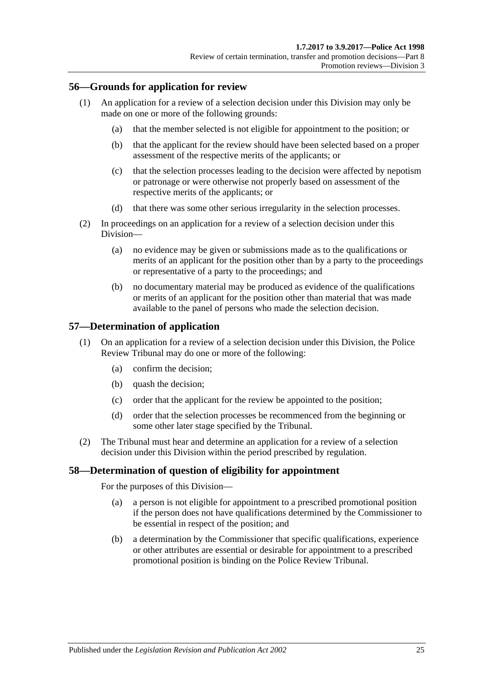#### <span id="page-24-0"></span>**56—Grounds for application for review**

- (1) An application for a review of a selection decision under this Division may only be made on one or more of the following grounds:
	- (a) that the member selected is not eligible for appointment to the position; or
	- (b) that the applicant for the review should have been selected based on a proper assessment of the respective merits of the applicants; or
	- (c) that the selection processes leading to the decision were affected by nepotism or patronage or were otherwise not properly based on assessment of the respective merits of the applicants; or
	- (d) that there was some other serious irregularity in the selection processes.
- (2) In proceedings on an application for a review of a selection decision under this Division—
	- (a) no evidence may be given or submissions made as to the qualifications or merits of an applicant for the position other than by a party to the proceedings or representative of a party to the proceedings; and
	- (b) no documentary material may be produced as evidence of the qualifications or merits of an applicant for the position other than material that was made available to the panel of persons who made the selection decision.

#### <span id="page-24-1"></span>**57—Determination of application**

- (1) On an application for a review of a selection decision under this Division, the Police Review Tribunal may do one or more of the following:
	- (a) confirm the decision;
	- (b) quash the decision;
	- (c) order that the applicant for the review be appointed to the position;
	- (d) order that the selection processes be recommenced from the beginning or some other later stage specified by the Tribunal.
- (2) The Tribunal must hear and determine an application for a review of a selection decision under this Division within the period prescribed by regulation.

#### <span id="page-24-2"></span>**58—Determination of question of eligibility for appointment**

For the purposes of this Division—

- (a) a person is not eligible for appointment to a prescribed promotional position if the person does not have qualifications determined by the Commissioner to be essential in respect of the position; and
- (b) a determination by the Commissioner that specific qualifications, experience or other attributes are essential or desirable for appointment to a prescribed promotional position is binding on the Police Review Tribunal.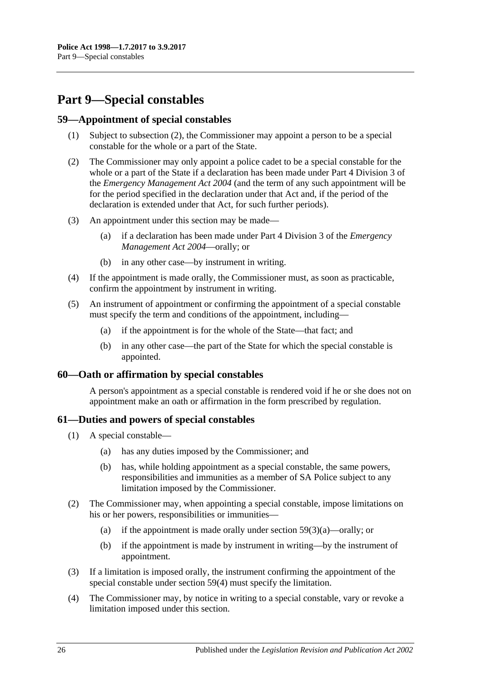## <span id="page-25-0"></span>**Part 9—Special constables**

#### <span id="page-25-1"></span>**59—Appointment of special constables**

- (1) Subject to [subsection](#page-25-4) (2), the Commissioner may appoint a person to be a special constable for the whole or a part of the State.
- <span id="page-25-4"></span>(2) The Commissioner may only appoint a police cadet to be a special constable for the whole or a part of the State if a declaration has been made under Part 4 Division 3 of the *[Emergency Management Act](http://www.legislation.sa.gov.au/index.aspx?action=legref&type=act&legtitle=Emergency%20Management%20Act%202004) 2004* (and the term of any such appointment will be for the period specified in the declaration under that Act and, if the period of the declaration is extended under that Act, for such further periods).
- <span id="page-25-5"></span>(3) An appointment under this section may be made—
	- (a) if a declaration has been made under Part 4 Division 3 of the *[Emergency](http://www.legislation.sa.gov.au/index.aspx?action=legref&type=act&legtitle=Emergency%20Management%20Act%202004)  [Management Act](http://www.legislation.sa.gov.au/index.aspx?action=legref&type=act&legtitle=Emergency%20Management%20Act%202004) 2004*—orally; or
	- (b) in any other case—by instrument in writing.
- <span id="page-25-6"></span>(4) If the appointment is made orally, the Commissioner must, as soon as practicable, confirm the appointment by instrument in writing.
- (5) An instrument of appointment or confirming the appointment of a special constable must specify the term and conditions of the appointment, including—
	- (a) if the appointment is for the whole of the State—that fact; and
	- (b) in any other case—the part of the State for which the special constable is appointed.

#### <span id="page-25-2"></span>**60—Oath or affirmation by special constables**

A person's appointment as a special constable is rendered void if he or she does not on appointment make an oath or affirmation in the form prescribed by regulation.

## <span id="page-25-3"></span>**61—Duties and powers of special constables**

- (1) A special constable—
	- (a) has any duties imposed by the Commissioner; and
	- (b) has, while holding appointment as a special constable, the same powers, responsibilities and immunities as a member of SA Police subject to any limitation imposed by the Commissioner.
- (2) The Commissioner may, when appointing a special constable, impose limitations on his or her powers, responsibilities or immunities—
	- (a) if the appointment is made orally under section [59\(3\)\(a\)—](#page-25-5)orally; or
	- (b) if the appointment is made by instrument in writing—by the instrument of appointment.
- (3) If a limitation is imposed orally, the instrument confirming the appointment of the special constable under [section](#page-25-6) 59(4) must specify the limitation.
- (4) The Commissioner may, by notice in writing to a special constable, vary or revoke a limitation imposed under this section.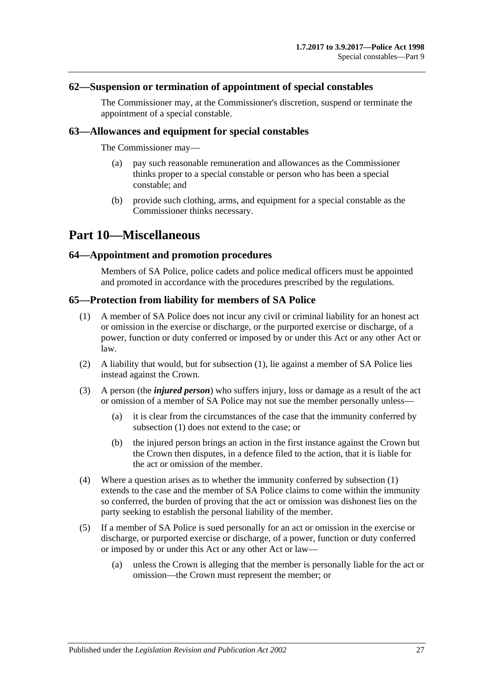#### <span id="page-26-0"></span>**62—Suspension or termination of appointment of special constables**

The Commissioner may, at the Commissioner's discretion, suspend or terminate the appointment of a special constable.

#### <span id="page-26-1"></span>**63—Allowances and equipment for special constables**

The Commissioner may—

- (a) pay such reasonable remuneration and allowances as the Commissioner thinks proper to a special constable or person who has been a special constable; and
- (b) provide such clothing, arms, and equipment for a special constable as the Commissioner thinks necessary.

## <span id="page-26-2"></span>**Part 10—Miscellaneous**

#### <span id="page-26-3"></span>**64—Appointment and promotion procedures**

Members of SA Police, police cadets and police medical officers must be appointed and promoted in accordance with the procedures prescribed by the regulations.

#### <span id="page-26-5"></span><span id="page-26-4"></span>**65—Protection from liability for members of SA Police**

- (1) A member of SA Police does not incur any civil or criminal liability for an honest act or omission in the exercise or discharge, or the purported exercise or discharge, of a power, function or duty conferred or imposed by or under this Act or any other Act or law.
- (2) A liability that would, but for [subsection](#page-26-5) (1), lie against a member of SA Police lies instead against the Crown.
- (3) A person (the *injured person*) who suffers injury, loss or damage as a result of the act or omission of a member of SA Police may not sue the member personally unless—
	- (a) it is clear from the circumstances of the case that the immunity conferred by [subsection](#page-26-5) (1) does not extend to the case; or
	- (b) the injured person brings an action in the first instance against the Crown but the Crown then disputes, in a defence filed to the action, that it is liable for the act or omission of the member.
- (4) Where a question arises as to whether the immunity conferred by [subsection](#page-26-5) (1) extends to the case and the member of SA Police claims to come within the immunity so conferred, the burden of proving that the act or omission was dishonest lies on the party seeking to establish the personal liability of the member.
- (5) If a member of SA Police is sued personally for an act or omission in the exercise or discharge, or purported exercise or discharge, of a power, function or duty conferred or imposed by or under this Act or any other Act or law—
	- (a) unless the Crown is alleging that the member is personally liable for the act or omission—the Crown must represent the member; or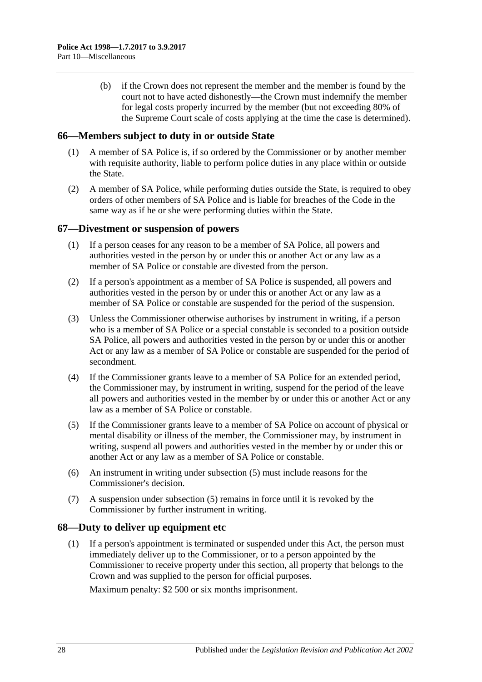(b) if the Crown does not represent the member and the member is found by the court not to have acted dishonestly—the Crown must indemnify the member for legal costs properly incurred by the member (but not exceeding 80% of the Supreme Court scale of costs applying at the time the case is determined).

#### <span id="page-27-0"></span>**66—Members subject to duty in or outside State**

- (1) A member of SA Police is, if so ordered by the Commissioner or by another member with requisite authority, liable to perform police duties in any place within or outside the State.
- (2) A member of SA Police, while performing duties outside the State, is required to obey orders of other members of SA Police and is liable for breaches of the Code in the same way as if he or she were performing duties within the State.

#### <span id="page-27-1"></span>**67—Divestment or suspension of powers**

- (1) If a person ceases for any reason to be a member of SA Police, all powers and authorities vested in the person by or under this or another Act or any law as a member of SA Police or constable are divested from the person.
- (2) If a person's appointment as a member of SA Police is suspended, all powers and authorities vested in the person by or under this or another Act or any law as a member of SA Police or constable are suspended for the period of the suspension.
- (3) Unless the Commissioner otherwise authorises by instrument in writing, if a person who is a member of SA Police or a special constable is seconded to a position outside SA Police, all powers and authorities vested in the person by or under this or another Act or any law as a member of SA Police or constable are suspended for the period of secondment.
- (4) If the Commissioner grants leave to a member of SA Police for an extended period, the Commissioner may, by instrument in writing, suspend for the period of the leave all powers and authorities vested in the member by or under this or another Act or any law as a member of SA Police or constable.
- <span id="page-27-3"></span>(5) If the Commissioner grants leave to a member of SA Police on account of physical or mental disability or illness of the member, the Commissioner may, by instrument in writing, suspend all powers and authorities vested in the member by or under this or another Act or any law as a member of SA Police or constable.
- (6) An instrument in writing under [subsection](#page-27-3) (5) must include reasons for the Commissioner's decision.
- (7) A suspension under [subsection](#page-27-3) (5) remains in force until it is revoked by the Commissioner by further instrument in writing.

## <span id="page-27-2"></span>**68—Duty to deliver up equipment etc**

(1) If a person's appointment is terminated or suspended under this Act, the person must immediately deliver up to the Commissioner, or to a person appointed by the Commissioner to receive property under this section, all property that belongs to the Crown and was supplied to the person for official purposes.

Maximum penalty: \$2 500 or six months imprisonment.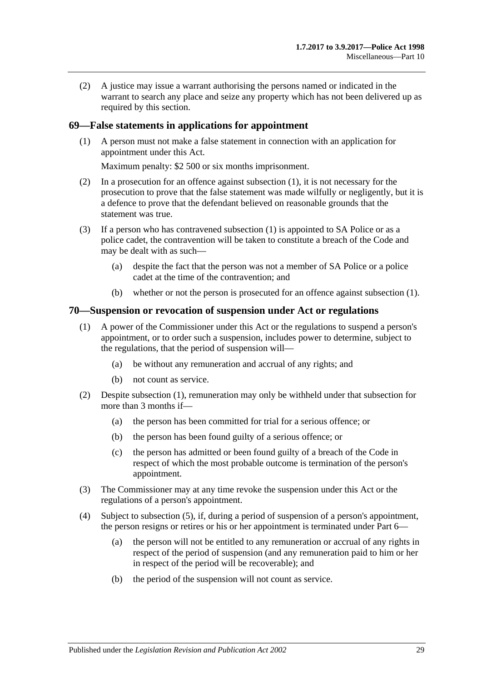(2) A justice may issue a warrant authorising the persons named or indicated in the warrant to search any place and seize any property which has not been delivered up as required by this section.

#### <span id="page-28-2"></span><span id="page-28-0"></span>**69—False statements in applications for appointment**

(1) A person must not make a false statement in connection with an application for appointment under this Act.

Maximum penalty: \$2 500 or six months imprisonment.

- (2) In a prosecution for an offence against [subsection](#page-28-2) (1), it is not necessary for the prosecution to prove that the false statement was made wilfully or negligently, but it is a defence to prove that the defendant believed on reasonable grounds that the statement was true.
- (3) If a person who has contravened [subsection](#page-28-2) (1) is appointed to SA Police or as a police cadet, the contravention will be taken to constitute a breach of the Code and may be dealt with as such—
	- (a) despite the fact that the person was not a member of SA Police or a police cadet at the time of the contravention; and
	- (b) whether or not the person is prosecuted for an offence against [subsection](#page-28-2) (1).

#### <span id="page-28-3"></span><span id="page-28-1"></span>**70—Suspension or revocation of suspension under Act or regulations**

- (1) A power of the Commissioner under this Act or the regulations to suspend a person's appointment, or to order such a suspension, includes power to determine, subject to the regulations, that the period of suspension will—
	- (a) be without any remuneration and accrual of any rights; and
	- (b) not count as service.
- (2) Despite [subsection](#page-28-3) (1), remuneration may only be withheld under that subsection for more than 3 months if—
	- (a) the person has been committed for trial for a serious offence; or
	- (b) the person has been found guilty of a serious offence; or
	- (c) the person has admitted or been found guilty of a breach of the Code in respect of which the most probable outcome is termination of the person's appointment.
- (3) The Commissioner may at any time revoke the suspension under this Act or the regulations of a person's appointment.
- (4) Subject to [subsection](#page-29-4) (5), if, during a period of suspension of a person's appointment, the person resigns or retires or his or her appointment is terminated under [Part](#page-13-3) 6—
	- (a) the person will not be entitled to any remuneration or accrual of any rights in respect of the period of suspension (and any remuneration paid to him or her in respect of the period will be recoverable); and
	- (b) the period of the suspension will not count as service.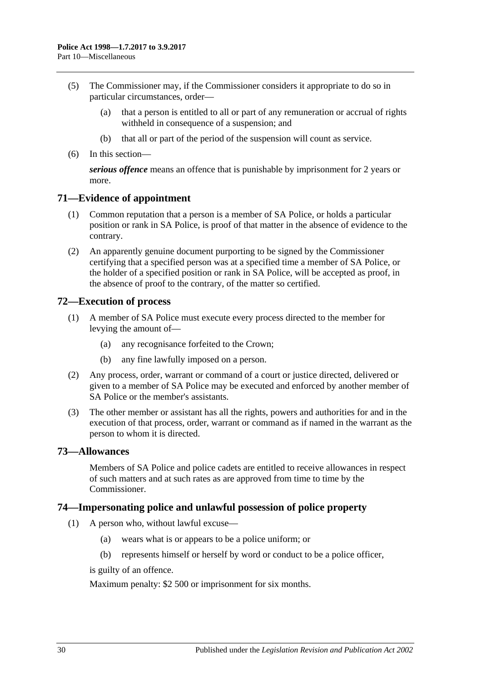- <span id="page-29-4"></span>(5) The Commissioner may, if the Commissioner considers it appropriate to do so in particular circumstances, order—
	- (a) that a person is entitled to all or part of any remuneration or accrual of rights withheld in consequence of a suspension; and
	- (b) that all or part of the period of the suspension will count as service.
- (6) In this section—

*serious offence* means an offence that is punishable by imprisonment for 2 years or more.

#### <span id="page-29-0"></span>**71—Evidence of appointment**

- (1) Common reputation that a person is a member of SA Police, or holds a particular position or rank in SA Police, is proof of that matter in the absence of evidence to the contrary.
- (2) An apparently genuine document purporting to be signed by the Commissioner certifying that a specified person was at a specified time a member of SA Police, or the holder of a specified position or rank in SA Police, will be accepted as proof, in the absence of proof to the contrary, of the matter so certified.

## <span id="page-29-1"></span>**72—Execution of process**

- (1) A member of SA Police must execute every process directed to the member for levying the amount of—
	- (a) any recognisance forfeited to the Crown;
	- (b) any fine lawfully imposed on a person.
- (2) Any process, order, warrant or command of a court or justice directed, delivered or given to a member of SA Police may be executed and enforced by another member of SA Police or the member's assistants.
- (3) The other member or assistant has all the rights, powers and authorities for and in the execution of that process, order, warrant or command as if named in the warrant as the person to whom it is directed.

#### <span id="page-29-2"></span>**73—Allowances**

Members of SA Police and police cadets are entitled to receive allowances in respect of such matters and at such rates as are approved from time to time by the Commissioner.

#### <span id="page-29-3"></span>**74—Impersonating police and unlawful possession of police property**

- (1) A person who, without lawful excuse—
	- (a) wears what is or appears to be a police uniform; or
	- (b) represents himself or herself by word or conduct to be a police officer,

is guilty of an offence.

Maximum penalty: \$2 500 or imprisonment for six months.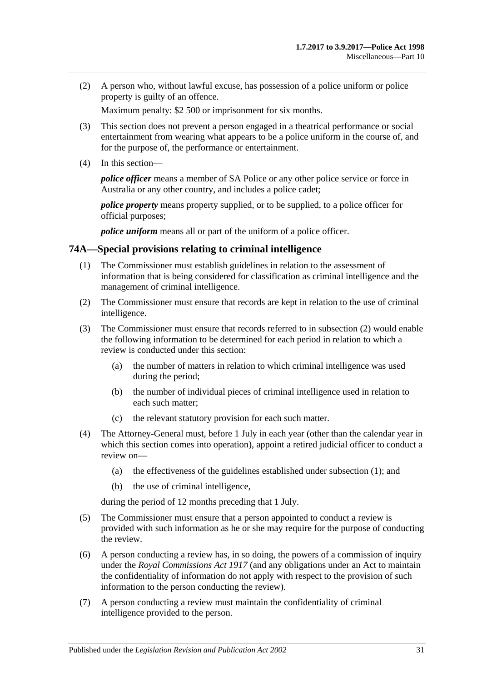(2) A person who, without lawful excuse, has possession of a police uniform or police property is guilty of an offence.

Maximum penalty: \$2 500 or imprisonment for six months.

- (3) This section does not prevent a person engaged in a theatrical performance or social entertainment from wearing what appears to be a police uniform in the course of, and for the purpose of, the performance or entertainment.
- (4) In this section—

*police officer* means a member of SA Police or any other police service or force in Australia or any other country, and includes a police cadet;

*police property* means property supplied, or to be supplied, to a police officer for official purposes;

*police uniform* means all or part of the uniform of a police officer.

#### <span id="page-30-2"></span><span id="page-30-0"></span>**74A—Special provisions relating to criminal intelligence**

- (1) The Commissioner must establish guidelines in relation to the assessment of information that is being considered for classification as criminal intelligence and the management of criminal intelligence.
- <span id="page-30-1"></span>(2) The Commissioner must ensure that records are kept in relation to the use of criminal intelligence.
- (3) The Commissioner must ensure that records referred to in [subsection](#page-30-1) (2) would enable the following information to be determined for each period in relation to which a review is conducted under this section:
	- (a) the number of matters in relation to which criminal intelligence was used during the period;
	- (b) the number of individual pieces of criminal intelligence used in relation to each such matter;
	- (c) the relevant statutory provision for each such matter.
- (4) The Attorney-General must, before 1 July in each year (other than the calendar year in which this section comes into operation), appoint a retired judicial officer to conduct a review on—
	- (a) the effectiveness of the guidelines established under [subsection](#page-30-2) (1); and
	- (b) the use of criminal intelligence,

during the period of 12 months preceding that 1 July.

- (5) The Commissioner must ensure that a person appointed to conduct a review is provided with such information as he or she may require for the purpose of conducting the review.
- (6) A person conducting a review has, in so doing, the powers of a commission of inquiry under the *[Royal Commissions Act](http://www.legislation.sa.gov.au/index.aspx?action=legref&type=act&legtitle=Royal%20Commissions%20Act%201917) 1917* (and any obligations under an Act to maintain the confidentiality of information do not apply with respect to the provision of such information to the person conducting the review).
- (7) A person conducting a review must maintain the confidentiality of criminal intelligence provided to the person.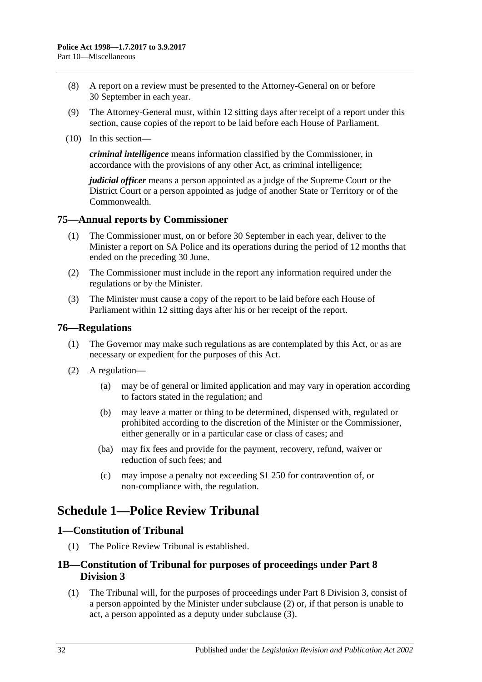- (8) A report on a review must be presented to the Attorney-General on or before 30 September in each year.
- (9) The Attorney-General must, within 12 sitting days after receipt of a report under this section, cause copies of the report to be laid before each House of Parliament.
- (10) In this section—

*criminal intelligence* means information classified by the Commissioner, in accordance with the provisions of any other Act, as criminal intelligence;

*judicial officer* means a person appointed as a judge of the Supreme Court or the District Court or a person appointed as judge of another State or Territory or of the Commonwealth.

#### <span id="page-31-0"></span>**75—Annual reports by Commissioner**

- (1) The Commissioner must, on or before 30 September in each year, deliver to the Minister a report on SA Police and its operations during the period of 12 months that ended on the preceding 30 June.
- (2) The Commissioner must include in the report any information required under the regulations or by the Minister.
- (3) The Minister must cause a copy of the report to be laid before each House of Parliament within 12 sitting days after his or her receipt of the report.

#### <span id="page-31-1"></span>**76—Regulations**

- (1) The Governor may make such regulations as are contemplated by this Act, or as are necessary or expedient for the purposes of this Act.
- (2) A regulation—
	- (a) may be of general or limited application and may vary in operation according to factors stated in the regulation; and
	- (b) may leave a matter or thing to be determined, dispensed with, regulated or prohibited according to the discretion of the Minister or the Commissioner, either generally or in a particular case or class of cases; and
	- (ba) may fix fees and provide for the payment, recovery, refund, waiver or reduction of such fees; and
	- (c) may impose a penalty not exceeding \$1 250 for contravention of, or non-compliance with, the regulation.

## <span id="page-31-2"></span>**Schedule 1—Police Review Tribunal**

#### <span id="page-31-3"></span>**1—Constitution of Tribunal**

(1) The Police Review Tribunal is established.

## <span id="page-31-4"></span>**1B—Constitution of Tribunal for purposes of proceedings under [Part 8](#page-23-0)  [Division 3](#page-23-0)**

(1) The Tribunal will, for the purposes of proceedings under [Part 8 Division 3,](#page-23-0) consist of a person appointed by the Minister under [subclause](#page-32-2) (2) or, if that person is unable to act, a person appointed as a deputy under [subclause](#page-32-3) (3).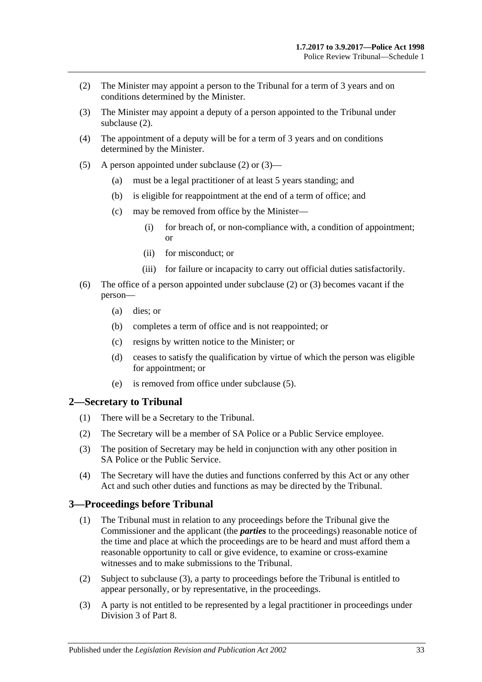- <span id="page-32-2"></span>(2) The Minister may appoint a person to the Tribunal for a term of 3 years and on conditions determined by the Minister.
- <span id="page-32-3"></span>(3) The Minister may appoint a deputy of a person appointed to the Tribunal under [subclause](#page-32-2) (2).
- (4) The appointment of a deputy will be for a term of 3 years and on conditions determined by the Minister.
- <span id="page-32-4"></span>(5) A person appointed under [subclause](#page-32-2) (2) or [\(3\)—](#page-32-3)
	- (a) must be a legal practitioner of at least 5 years standing; and
	- (b) is eligible for reappointment at the end of a term of office; and
	- (c) may be removed from office by the Minister—
		- (i) for breach of, or non-compliance with, a condition of appointment; or
		- (ii) for misconduct; or
		- (iii) for failure or incapacity to carry out official duties satisfactorily.
- (6) The office of a person appointed under [subclause](#page-32-2) (2) or [\(3\)](#page-32-3) becomes vacant if the person—
	- (a) dies; or
	- (b) completes a term of office and is not reappointed; or
	- (c) resigns by written notice to the Minister; or
	- (d) ceases to satisfy the qualification by virtue of which the person was eligible for appointment; or
	- (e) is removed from office under [subclause](#page-32-4) (5).

#### <span id="page-32-0"></span>**2—Secretary to Tribunal**

- (1) There will be a Secretary to the Tribunal.
- (2) The Secretary will be a member of SA Police or a Public Service employee.
- (3) The position of Secretary may be held in conjunction with any other position in SA Police or the Public Service.
- (4) The Secretary will have the duties and functions conferred by this Act or any other Act and such other duties and functions as may be directed by the Tribunal.

## <span id="page-32-6"></span><span id="page-32-1"></span>**3—Proceedings before Tribunal**

- (1) The Tribunal must in relation to any proceedings before the Tribunal give the Commissioner and the applicant (the *parties* to the proceedings) reasonable notice of the time and place at which the proceedings are to be heard and must afford them a reasonable opportunity to call or give evidence, to examine or cross-examine witnesses and to make submissions to the Tribunal.
- (2) Subject to [subclause](#page-32-5) (3), a party to proceedings before the Tribunal is entitled to appear personally, or by representative, in the proceedings.
- <span id="page-32-5"></span>(3) A party is not entitled to be represented by a legal practitioner in proceedings under [Division 3](#page-23-0) of [Part 8.](#page-22-1)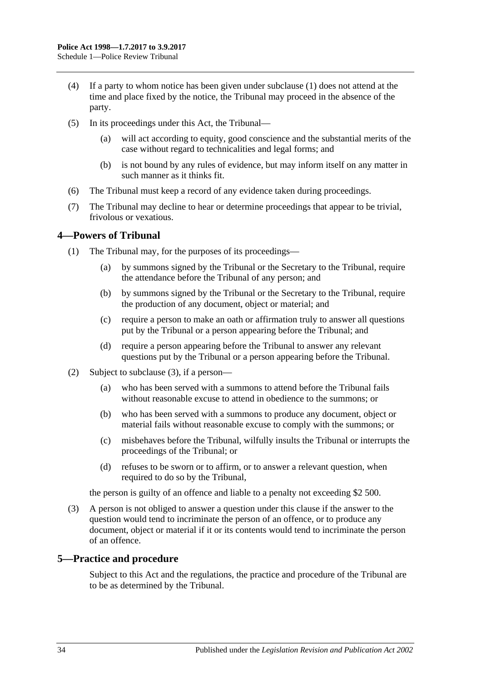- (4) If a party to whom notice has been given under [subclause](#page-32-6) (1) does not attend at the time and place fixed by the notice, the Tribunal may proceed in the absence of the party.
- (5) In its proceedings under this Act, the Tribunal—
	- (a) will act according to equity, good conscience and the substantial merits of the case without regard to technicalities and legal forms; and
	- (b) is not bound by any rules of evidence, but may inform itself on any matter in such manner as it thinks fit.
- (6) The Tribunal must keep a record of any evidence taken during proceedings.
- (7) The Tribunal may decline to hear or determine proceedings that appear to be trivial, frivolous or vexatious.

## <span id="page-33-0"></span>**4—Powers of Tribunal**

- (1) The Tribunal may, for the purposes of its proceedings—
	- (a) by summons signed by the Tribunal or the Secretary to the Tribunal, require the attendance before the Tribunal of any person; and
	- (b) by summons signed by the Tribunal or the Secretary to the Tribunal, require the production of any document, object or material; and
	- (c) require a person to make an oath or affirmation truly to answer all questions put by the Tribunal or a person appearing before the Tribunal; and
	- (d) require a person appearing before the Tribunal to answer any relevant questions put by the Tribunal or a person appearing before the Tribunal.
- (2) Subject to [subclause](#page-33-2) (3), if a person—
	- (a) who has been served with a summons to attend before the Tribunal fails without reasonable excuse to attend in obedience to the summons; or
	- (b) who has been served with a summons to produce any document, object or material fails without reasonable excuse to comply with the summons; or
	- (c) misbehaves before the Tribunal, wilfully insults the Tribunal or interrupts the proceedings of the Tribunal; or
	- (d) refuses to be sworn or to affirm, or to answer a relevant question, when required to do so by the Tribunal,

the person is guilty of an offence and liable to a penalty not exceeding \$2 500.

<span id="page-33-2"></span>(3) A person is not obliged to answer a question under this clause if the answer to the question would tend to incriminate the person of an offence, or to produce any document, object or material if it or its contents would tend to incriminate the person of an offence.

#### <span id="page-33-1"></span>**5—Practice and procedure**

Subject to this Act and the regulations, the practice and procedure of the Tribunal are to be as determined by the Tribunal.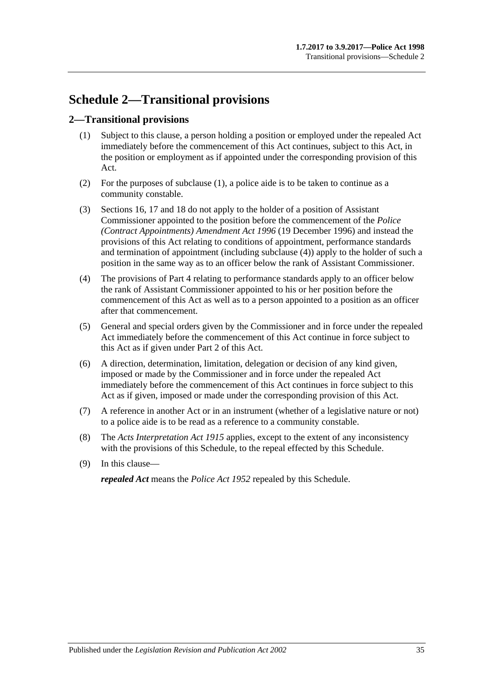## <span id="page-34-0"></span>**Schedule 2—Transitional provisions**

## <span id="page-34-2"></span><span id="page-34-1"></span>**2—Transitional provisions**

- (1) Subject to this clause, a person holding a position or employed under the repealed Act immediately before the commencement of this Act continues, subject to this Act, in the position or employment as if appointed under the corresponding provision of this Act.
- (2) For the purposes of [subclause](#page-34-2) (1), a police aide is to be taken to continue as a community constable.
- (3) [Sections](#page-7-2) 16, [17](#page-8-0) and [18](#page-8-1) do not apply to the holder of a position of Assistant Commissioner appointed to the position before the commencement of the *[Police](http://www.legislation.sa.gov.au/index.aspx?action=legref&type=act&legtitle=Police%20(Contract%20Appointments)%20Amendment%20Act%201996)  [\(Contract Appointments\) Amendment Act](http://www.legislation.sa.gov.au/index.aspx?action=legref&type=act&legtitle=Police%20(Contract%20Appointments)%20Amendment%20Act%201996) 1996* (19 December 1996) and instead the provisions of this Act relating to conditions of appointment, performance standards and termination of appointment (including [subclause](#page-34-3) (4)) apply to the holder of such a position in the same way as to an officer below the rank of Assistant Commissioner.
- <span id="page-34-3"></span>(4) The provisions of [Part 4](#page-9-0) relating to performance standards apply to an officer below the rank of Assistant Commissioner appointed to his or her position before the commencement of this Act as well as to a person appointed to a position as an officer after that commencement.
- (5) General and special orders given by the Commissioner and in force under the repealed Act immediately before the commencement of this Act continue in force subject to this Act as if given under [Part 2](#page-4-0) of this Act.
- (6) A direction, determination, limitation, delegation or decision of any kind given, imposed or made by the Commissioner and in force under the repealed Act immediately before the commencement of this Act continues in force subject to this Act as if given, imposed or made under the corresponding provision of this Act.
- (7) A reference in another Act or in an instrument (whether of a legislative nature or not) to a police aide is to be read as a reference to a community constable.
- (8) The *[Acts Interpretation Act](http://www.legislation.sa.gov.au/index.aspx?action=legref&type=act&legtitle=Acts%20Interpretation%20Act%201915) 1915* applies, except to the extent of any inconsistency with the provisions of this Schedule, to the repeal effected by this Schedule.
- (9) In this clause—

*repealed Act* means the *[Police Act](http://www.legislation.sa.gov.au/index.aspx?action=legref&type=act&legtitle=Police%20Act%201952) 1952* repealed by this Schedule.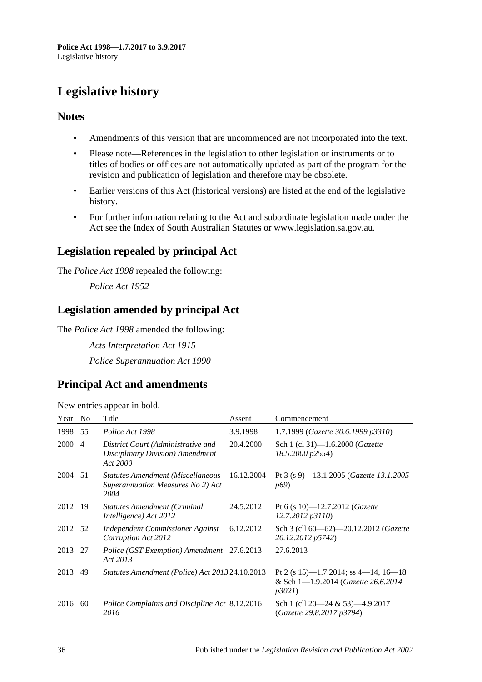## <span id="page-35-0"></span>**Legislative history**

## **Notes**

- Amendments of this version that are uncommenced are not incorporated into the text.
- Please note—References in the legislation to other legislation or instruments or to titles of bodies or offices are not automatically updated as part of the program for the revision and publication of legislation and therefore may be obsolete.
- Earlier versions of this Act (historical versions) are listed at the end of the legislative history.
- For further information relating to the Act and subordinate legislation made under the Act see the Index of South Australian Statutes or www.legislation.sa.gov.au.

## **Legislation repealed by principal Act**

The *Police Act 1998* repealed the following:

*Police Act 1952*

## **Legislation amended by principal Act**

The *Police Act 1998* amended the following:

*Acts Interpretation Act 1915 Police Superannuation Act 1990*

## **Principal Act and amendments**

| New entries appear in bold. |  |  |
|-----------------------------|--|--|
|                             |  |  |

| Year    | N <sub>0</sub> | Title                                                                                 | Assent     | Commencement                                                                         |
|---------|----------------|---------------------------------------------------------------------------------------|------------|--------------------------------------------------------------------------------------|
| 1998    | 55             | Police Act 1998                                                                       | 3.9.1998   | 1.7.1999 (Gazette 30.6.1999 p3310)                                                   |
| 2000    | $\overline{4}$ | District Court (Administrative and<br>Disciplinary Division) Amendment<br>Act 2000    | 20.4.2000  | Sch 1 (cl 31)-1.6.2000 ( <i>Gazette</i><br>18.5.2000 p2554)                          |
| 2004 51 |                | <b>Statutes Amendment (Miscellaneous</b><br>Superannuation Measures No 2) Act<br>2004 | 16.12.2004 | Pt 3 (s 9)—13.1.2005 ( <i>Gazette 13.1.2005</i><br><i>p</i> <sup>69</sup> )          |
| 2012 19 |                | <b>Statutes Amendment (Criminal</b><br>Intelligence) Act 2012                         | 24.5.2012  | Pt 6 (s 10)-12.7.2012 ( <i>Gazette</i><br>12.7.2012 p3110)                           |
| 2012 52 |                | Independent Commissioner Against<br>Corruption Act 2012                               | 6.12.2012  | Sch 3 (cll 60—62)—20.12.2012 (Gazette<br>20.12.2012 p5742)                           |
| 2013 27 |                | Police (GST Exemption) Amendment 27.6.2013<br>Act 2013                                |            | 27.6.2013                                                                            |
| 2013    | 49             | Statutes Amendment (Police) Act 2013 24.10.2013                                       |            | Pt 2 (s 15)—1.7.2014; ss 4—14, 16—18<br>& Sch 1-1.9.2014 (Gazette 26.6.2014<br>p3021 |
| 2016    | 60             | Police Complaints and Discipline Act 8.12.2016<br>2016                                |            | Sch 1 (cll $20-24 & 53$ ) $-4.9.2017$<br>(Gazette 29.8.2017 p3794)                   |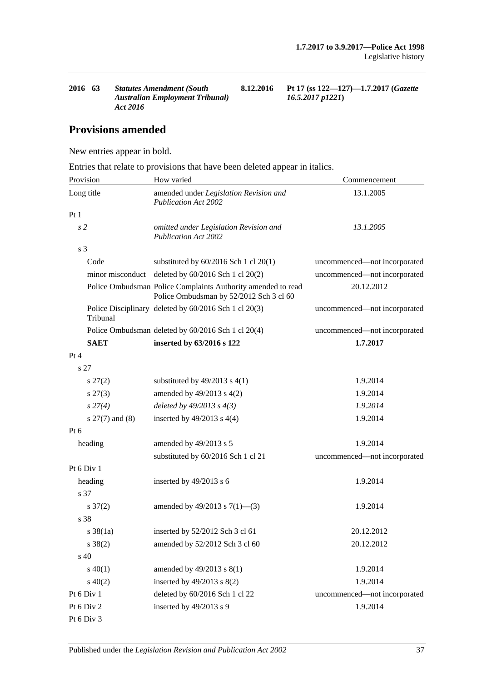**2016 63** *Statutes Amendment (South Australian Employment Tribunal) Act 2016*

**8.12.2016 Pt 17 (ss 122—127)—1.7.2017 (***Gazette 16.5.2017 p1221***)**

## **Provisions amended**

New entries appear in bold.

Entries that relate to provisions that have been deleted appear in italics.

| Provision           | How varied                                                                                              | Commencement                 |
|---------------------|---------------------------------------------------------------------------------------------------------|------------------------------|
| Long title          | amended under Legislation Revision and<br><b>Publication Act 2002</b>                                   | 13.1.2005                    |
| Pt1                 |                                                                                                         |                              |
| s <sub>2</sub>      | omitted under Legislation Revision and<br><b>Publication Act 2002</b>                                   | 13.1.2005                    |
| s <sub>3</sub>      |                                                                                                         |                              |
| Code                | substituted by $60/2016$ Sch 1 cl $20(1)$                                                               | uncommenced—not incorporated |
|                     | minor misconduct deleted by 60/2016 Sch 1 cl 20(2)                                                      | uncommenced-not incorporated |
|                     | Police Ombudsman Police Complaints Authority amended to read<br>Police Ombudsman by 52/2012 Sch 3 cl 60 | 20.12.2012                   |
| Tribunal            | Police Disciplinary deleted by 60/2016 Sch 1 cl 20(3)                                                   | uncommenced—not incorporated |
|                     | Police Ombudsman deleted by 60/2016 Sch 1 cl 20(4)                                                      | uncommenced-not incorporated |
| <b>SAET</b>         | inserted by 63/2016 s 122                                                                               | 1.7.2017                     |
| Pt 4                |                                                                                                         |                              |
| s 27                |                                                                                                         |                              |
| $s\,27(2)$          | substituted by $49/2013$ s $4(1)$                                                                       | 1.9.2014                     |
| $s\,27(3)$          | amended by 49/2013 s 4(2)                                                                               | 1.9.2014                     |
| $s\,27(4)$          | deleted by $49/2013$ s $4(3)$                                                                           | 1.9.2014                     |
| $s$ 27(7) and (8)   | inserted by $49/2013$ s $4(4)$                                                                          | 1.9.2014                     |
| Pt 6                |                                                                                                         |                              |
| heading             | amended by 49/2013 s 5                                                                                  | 1.9.2014                     |
|                     | substituted by 60/2016 Sch 1 cl 21                                                                      | uncommenced—not incorporated |
| Pt 6 Div 1          |                                                                                                         |                              |
| heading             | inserted by $49/2013$ s 6                                                                               | 1.9.2014                     |
| s 37                |                                                                                                         |                              |
| $s \frac{37(2)}{2}$ | amended by $49/2013$ s $7(1)$ —(3)                                                                      | 1.9.2014                     |
| s 38                |                                                                                                         |                              |
| $s \, 38(1a)$       | inserted by 52/2012 Sch 3 cl 61                                                                         | 20.12.2012                   |
| $s \ 38(2)$         | amended by 52/2012 Sch 3 cl 60                                                                          | 20.12.2012                   |
| s 40                |                                                                                                         |                              |
| $s\ 40(1)$          | amended by 49/2013 s 8(1)                                                                               | 1.9.2014                     |
| $s\ 40(2)$          | inserted by 49/2013 s 8(2)                                                                              | 1.9.2014                     |
| Pt 6 Div 1          | deleted by 60/2016 Sch 1 cl 22                                                                          | uncommenced-not incorporated |
| Pt 6 Div 2          | inserted by 49/2013 s 9                                                                                 | 1.9.2014                     |
| Pt 6 Div 3          |                                                                                                         |                              |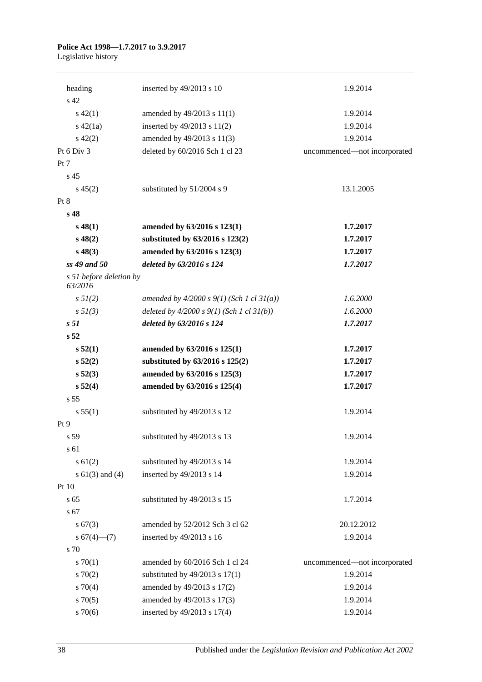## **Police Act 1998—1.7.2017 to 3.9.2017**

Legislative history

| heading                            | inserted by $49/2013$ s 10                  | 1.9.2014                     |
|------------------------------------|---------------------------------------------|------------------------------|
| s 42                               |                                             |                              |
| $s\ 42(1)$                         | amended by 49/2013 s 11(1)                  | 1.9.2014                     |
| $s\ 42(1a)$                        | inserted by $49/2013$ s $11(2)$             | 1.9.2014                     |
| $s\ 42(2)$                         | amended by 49/2013 s 11(3)                  | 1.9.2014                     |
| Pt 6 Div 3                         | deleted by 60/2016 Sch 1 cl 23              | uncommenced-not incorporated |
| Pt 7                               |                                             |                              |
| s <sub>45</sub>                    |                                             |                              |
| $s\,45(2)$                         | substituted by 51/2004 s 9                  | 13.1.2005                    |
| Pt 8                               |                                             |                              |
| s 48                               |                                             |                              |
| $s\,48(1)$                         | amended by 63/2016 s 123(1)                 | 1.7.2017                     |
| $s\,48(2)$                         | substituted by 63/2016 s 123(2)             | 1.7.2017                     |
| $s\,48(3)$                         | amended by 63/2016 s 123(3)                 | 1.7.2017                     |
| $ss$ 49 and 50                     | deleted by 63/2016 s 124                    | 1.7.2017                     |
| s 51 before deletion by<br>63/2016 |                                             |                              |
| s 51(2)                            | amended by $4/2000 s 9(1)$ (Sch 1 cl 31(a)) | 1.6.2000                     |
| s 5I(3)                            | deleted by $4/2000 s 9(1)$ (Sch 1 cl 31(b)) | 1.6.2000                     |
| s <sub>51</sub>                    | deleted by 63/2016 s 124                    | 1.7.2017                     |
| s 52                               |                                             |                              |
| s 52(1)                            | amended by 63/2016 s 125(1)                 | 1.7.2017                     |
| s 52(2)                            | substituted by 63/2016 s 125(2)             | 1.7.2017                     |
| s 52(3)                            | amended by 63/2016 s 125(3)                 | 1.7.2017                     |
| s 52(4)                            | amended by 63/2016 s 125(4)                 | 1.7.2017                     |
| s 55                               |                                             |                              |
| s 55(1)                            | substituted by 49/2013 s 12                 | 1.9.2014                     |
| Pt 9                               |                                             |                              |
| s 59                               | substituted by 49/2013 s 13                 | 1.9.2014                     |
| s 61                               |                                             |                              |
| s 61(2)                            | substituted by 49/2013 s 14                 | 1.9.2014                     |
| s $61(3)$ and $(4)$                | inserted by 49/2013 s 14                    | 1.9.2014                     |
| Pt 10                              |                                             |                              |
| s <sub>65</sub>                    | substituted by 49/2013 s 15                 | 1.7.2014                     |
| s 67                               |                                             |                              |
| s 67(3)                            | amended by 52/2012 Sch 3 cl 62              | 20.12.2012                   |
| $s 67(4)$ (7)                      | inserted by 49/2013 s 16                    | 1.9.2014                     |
| s 70                               |                                             |                              |
| 570(1)                             | amended by 60/2016 Sch 1 cl 24              | uncommenced-not incorporated |
| 570(2)                             | substituted by $49/2013$ s $17(1)$          | 1.9.2014                     |
| $s \, 70(4)$                       | amended by 49/2013 s 17(2)                  | 1.9.2014                     |
| $s \, 70(5)$                       | amended by 49/2013 s 17(3)                  | 1.9.2014                     |
| $s \, 70(6)$                       | inserted by 49/2013 s 17(4)                 | 1.9.2014                     |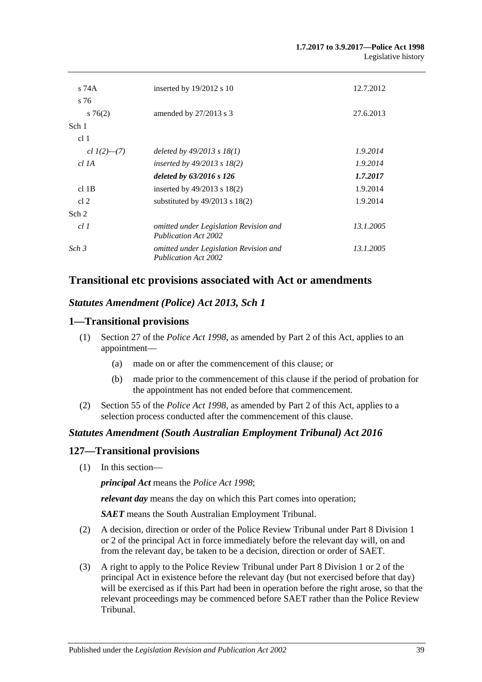| $s$ 74A           | inserted by $19/2012$ s 10                                            | 12.7.2012 |
|-------------------|-----------------------------------------------------------------------|-----------|
| s 76              |                                                                       |           |
| $s \, 76(2)$      | amended by 27/2013 s 3                                                | 27.6.2013 |
| Sch 1             |                                                                       |           |
| cl <sub>1</sub>   |                                                                       |           |
| cl $1(2)$ — $(7)$ | deleted by $49/2013$ s $18(1)$                                        | 1.9.2014  |
| $cl$ 1A           | inserted by $49/2013$ s $18(2)$                                       | 1.9.2014  |
|                   | deleted by $63/2016$ s 126                                            | 1.7.2017  |
| $cl$ 1B           | inserted by $49/2013$ s $18(2)$                                       | 1.9.2014  |
| cl <sub>2</sub>   | substituted by $49/2013$ s $18(2)$                                    | 1.9.2014  |
| Sch 2             |                                                                       |           |
| cl1               | omitted under Legislation Revision and<br><b>Publication Act 2002</b> | 13.1.2005 |
| Sch <sub>3</sub>  | omitted under Legislation Revision and<br><b>Publication Act 2002</b> | 13.1.2005 |

## **Transitional etc provisions associated with Act or amendments**

## *Statutes Amendment (Police) Act 2013, Sch 1*

## **1—Transitional provisions**

- (1) Section 27 of the *[Police Act](http://www.legislation.sa.gov.au/index.aspx?action=legref&type=act&legtitle=Police%20Act%201998) 1998*, as amended by Part 2 of this Act, applies to an appointment—
	- (a) made on or after the commencement of this clause; or
	- (b) made prior to the commencement of this clause if the period of probation for the appointment has not ended before that commencement.
- (2) Section 55 of the *[Police Act](http://www.legislation.sa.gov.au/index.aspx?action=legref&type=act&legtitle=Police%20Act%201998) 1998*, as amended by Part 2 of this Act, applies to a selection process conducted after the commencement of this clause.

## *Statutes Amendment (South Australian Employment Tribunal) Act 2016*

## **127—Transitional provisions**

(1) In this section—

*principal Act* means the *[Police Act](http://www.legislation.sa.gov.au/index.aspx?action=legref&type=act&legtitle=Police%20Act%201998) 1998*;

*relevant day* means the day on which this Part comes into operation;

*SAET* means the South Australian Employment Tribunal.

- (2) A decision, direction or order of the Police Review Tribunal under Part 8 Division 1 or 2 of the principal Act in force immediately before the relevant day will, on and from the relevant day, be taken to be a decision, direction or order of SAET.
- (3) A right to apply to the Police Review Tribunal under Part 8 Division 1 or 2 of the principal Act in existence before the relevant day (but not exercised before that day) will be exercised as if this Part had been in operation before the right arose, so that the relevant proceedings may be commenced before SAET rather than the Police Review Tribunal.